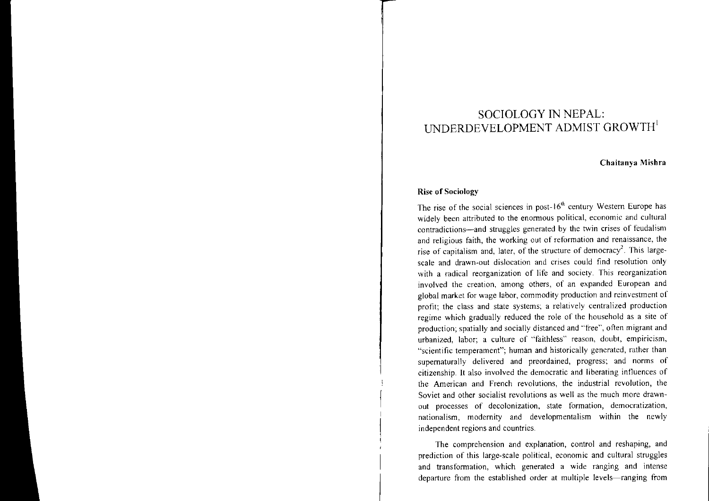# SOCIOLOGY IN NEPAL: **UNDERDEVELOPMENT ADMIST GROWTH**

## Chaitanya Mishra

#### Rise of Sociology

The rise of the social sciences in post- $16<sup>th</sup>$  century Western Europe has widely been attributed to the enormous political, economic and cultural contradictions-and struggles generated by the twin crises of feudalism and religious faith, the working out of reformation and renaissance, the rise of capitalism and, later, of the structure of democracy<sup>2</sup>. This largescale and drawn-out dislocation and crises could find resolution only with <sup>a</sup> radical reorganization of life and society. This reorganization involved the creation, among others, of an expanded European and global market for wage labor, commodity production and reinvestment of profit; the class and state systems; <sup>a</sup> relatively centralized production regime which gradually reduced the role of the household as <sup>a</sup> site of production; spatially and socially distanced and "free", often migrant and urbanized, labor; <sup>a</sup> culture of "faithless" reason, doubt, empiricism, "scientific temperament"; human and historically generated, rather than supernaturally delivered and preordained, progress; and norms of citizenship. It also involved the democratic and liberating influences of the American and French revolutions, the industrial revolution, the Soviet and other socialist revolutions as well as the much more drawnout processes of decolonization, state formation, democratization, nationalism, modernity and developmentalism within the newly independent regions and countries.

The comprehension and explanation, control and reshaping, and prediction of this large-scale political, economic and cultural struggles and transformation, which generated <sup>a</sup> wide ranging and intense departure from the established order at multiple levels-ranging from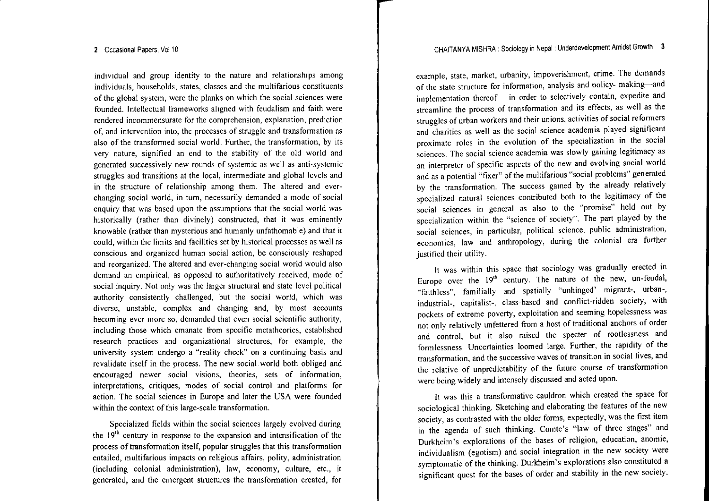individual and group identity to the nature and relationships among individuals, households, states, classes and the multifarious constituents of the global system, were the planks on which the social sciences were founded. Intellectual frameworks aligned with feudalism and faith were **rendered incommensurate for the comprehension, explanation, prediction of,** and intervention into, the processes of struggle and transformation as also of the transformed social world. Further, the transformation, by its very nature, signified an end to the stability of the old world and **generated successively new rounds of systemic as well as anti-systemic** struggles and transitions at the local, intermediate and global levels and in the structure of relationship among them. The altered and ever**changing social world, in turn, necessarily demanded <sup>a</sup> mode of social** enquiry that was based upon the assumptions that the social world was historically (rather than divinely) constructed, that it was eminently knowable (rather than mysterious and humanly unfathomable) and that it could, within the limits and facilities set by historical processes as well as **conscious and organized human social action, be consciously reshaped** and reorganized. The altered and ever-changing social world would also **demand an empirical, as opposed to authoritatively received, mode of** social inquiry. Not only was the larger structural and state level political authority consistently challenged, but the social world, which was diverse, unstable, complex and changing and, by most accounts **becoming ever more so, demanded that even social scientific authority,** including those which emanate from specific metatheories, established **research practices and organizational structures, for example, the university system undergo <sup>a</sup> "reality check" on <sup>a</sup> continuing basis and** revalidate itself in the process. The new social world both obliged and **encouraged newer social visions, theories, sets of infonnation,** interpretations, critiques, modes of social control and platforms for action. The social sciences in Europe and later the USA were founded within the context of this large-scale transformation.

Specialized fields within the social sciences largely evolved during the 19<sup>th</sup> century in response to the expansion and intensification of the process of transformation itself, popular struggles that this transformation entailed, multifarious impacts on religious affairs, polity, administration (including colonial administration), law, economy, culture, etc., it generated, and the emergen<sup>t</sup> structures the transformation created, for example, state, market, urbanity, impoverishment, crime. The demands of the state structure for information, analysis and policyimplementation in order to selectively contain, expedite and streamline the process of transformation and its effects, as well as the **struggles of urban workers and their unions, activities of social refonners and charities as well as the social science academia played significant proximate roles in the evolution of the specialization in the social sciences. The social science academia was slowly gaining legitimacy as** an interpreter of specific aspects of the new and evolving social world and as <sup>a</sup> potential "fixer" of the multifarious "social problems" generated by the transformation. The success gained by the already relatively specialized natural sciences contributed both to the legitimacy of the **social sciences in general as also to the "promise" held out by** specialization within the "science of society". The par<sup>t</sup> played by the **social sciences, in particular, political science, public administration,** economics, law and anthropology, during the colonial era further justified their utility.

It was within this space that sociology was gradually erected in Europe over the 19'h century. The nature of the new, un-feudal, "faithless", familially and spatially "unhinged' migrant-, urban-, industrial-, capitalist-, class-based and conflict-ridden society, with **pockets of extreme poverty, exploitation and seeming hopelessness was** not only relatively unfettered from <sup>a</sup> host of traditional anchors of order and control, but it also raised the specter of rootlessness and formlessness. Uncertainties loomed large. Further, the rapidity of the **transfonnation, and the successive waves oftransition in social lives, and** the relative of unpredictability of the future course of transformation were being widely and intensely discussed and acted upon.

It was this <sup>a</sup> transformative cauldron which created the space for sociological thinking. Sketching and elaborating the features of the new society, as contrasted with the older forms, expectedly, was the first item in the agenda of such thinking. Comte's "law of three stages" and Durkheim's explorations of the bases of religion, education, anomie, individualism (egotism) and social integration in the new society were symptomatic of the thinking. Durkheim's explorations also constituted <sup>a</sup> significant ques<sup>t</sup> for the bases of order and stability in the new society.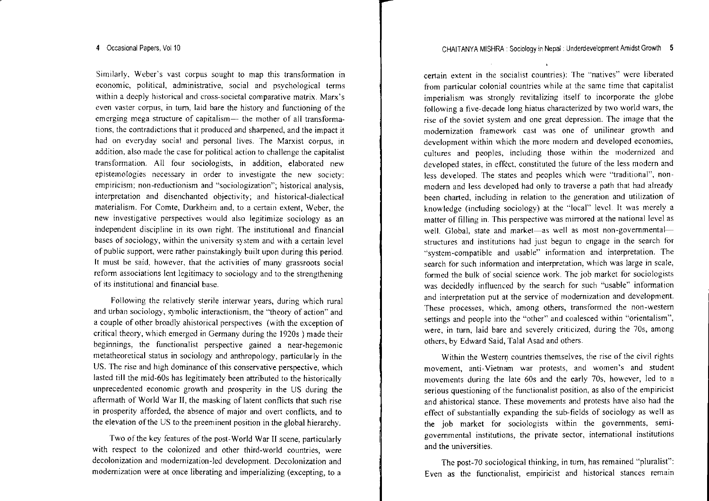**Similarly, Weber's vast corpus sought to map this transfonnation in economic, political, administrative, social and psychological terms within <sup>a</sup> deeply historical and cross-societal comparative matrix. Marx's even vaster corpus, in turn, laid bare the history and functioning of the emerging mega structure of capitalism- the mother of all transfonna**tions, the contradictions that it produced and sharpened, and the impact it had on everyday social and personal lives. The Marxist corpus, in addition, also made the case for political action to challenge the capitalist **transformation. All four sociologists, in addition, elaborated new epistemologies necessary in order to investigate the new society: empiricism; non-reductionism and "socioiogization"; historical analysis,** interpretation and disenchanted objectivity; and historical-dialectical **materialism. For Comte, Durkheim and, to <sup>a</sup> certain extent, Weber, the new investigative perspectives would also legitimize sociology as an independent discipline in its own right. The institutional and financial bases of sociology, within the university system and with <sup>a</sup> certain level** of public support, were rather painstakingly built upon during this period. **It must be said, however, that the activities of many grassroots social reform associations lent legitimacy to sociology and to the strengthening of its institutional and financial base.**

**Following the relatively sterile interwar years, during which rural and urban sociology, symbolic interactionism, the** *"theory* **of action" and** a couple of other broadly ahistorical perspectives (with the exception of critical theory, which emerged in Germany during the 1920s ) made their **beginnings, the functionalist perspective gained <sup>a</sup> near-hegemonic** metatheoretical status in sociology and anthropology, particularly in the US. The rise and high dominance of this conservative perspective, which lasted till the mid-60s has legitimately been attributed to the historically nnprecedented economic growth and prosperity in the US during the aftennath of World War **11,** the masking of latent conflicts that such rise in prosperity afforded, the absence of major and overt conflicts, and to the elevation of the US to the preeminent position in the global hierarchy.

Two ofthe key features ofthe post-World War 11 scene, particularly with respec<sup>t</sup> to the colonized and other third-world countries, were decolonization and modernization-led development. Decolonization and modernization were at once liberating and imperializing (excepting, to <sup>a</sup>

**certain extent in the socialist countries): The "natives" were liberated from particular colonial countries while at the same time that capitalist imperialism was strongly revitalizing itself to incorporate the globe** following a five-decade long hiatus characterized by two world wars, the rise of the soviet system and one grea<sup>t</sup> depression. The image that the **modernization framework cast was one of unilinear growth and development within which the more modern and developed economies,** cultures and peoples, including those within the modernized and developed states, in effect, constituted the future of the less modern and less developed. The states and peoples which were "traditional", nonmodern and less developed had only to traverse <sup>a</sup> path that had already **been charted, including in relation to the generation and utilization of** knowledge (including sociology) at the "local" level. It was merely <sup>a</sup> **matter of filling in. This perspective was mirrored at the national level as** well. Global, state and market—as well as most non-governmental **structures and institutions had just begun to engage in the search for "system-compatible and usable" information and interpretation. The search for such information and interpretation, which was large in scale,** formed the bulk of social science work. The job market for sociologists was decidedly influenced by the search for such "usable" infonnation **and interpretation put at the service of modernization and development. These processes, which, among others, transformed the non-western settings and people into the "other" and coalesced within** "orientalism", **were, in turn, laid bare and severely criticized, during the 70s, among** others, by Edward Said, Talal Asad and others.

Within the Western countries themselves, the rise of the civil rights **movement, anti-Vietnam war protests, and women's and student** movements during the late 60s and the early 70s, however, led to <sup>a</sup> **serious questioning** ofthe **functionalist position, as also** of the **empiricist** and ahistorical stance. These movements and protests have also had the effect of substantially expanding the sub-fields of sociology as well as the job market for sociologists within the governments, semi**governmental institutions, the private sector, international institutions and the universities.**

The post-70 sociological thinking, in turn, has remained "pluralist": **Even as the functionalist, empiricist and historical stances remain**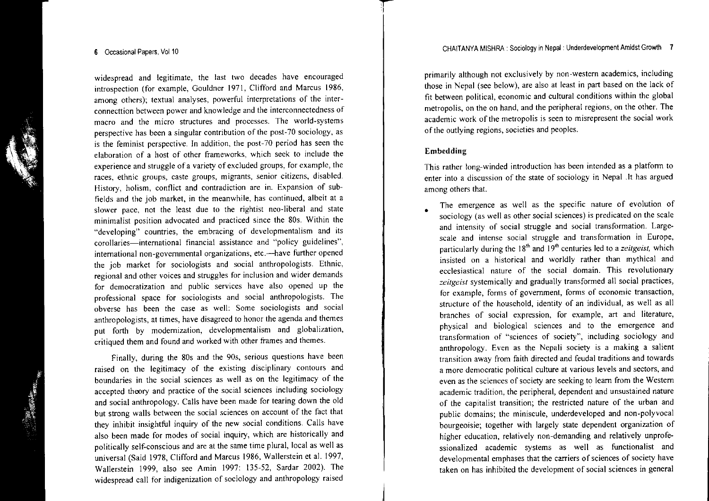#### 6 Occasional Papers, Vol 10

widespread and legitimate, the last two decades have encouraged introspection (for example, Gouldner 1971, Clifford and Marcus 1986, among others); textual analyses, powerful interpretations of the inter**connecttion between power and knowledge and the interconnectedness of macro and the micro structures and processes. The world-systems** perspective has been <sup>a</sup> singular contribution of the post-70 sociology, as s the feminist perspective. In addition, the post-70 period has seen the elaboration of <sup>a</sup> host of other frameworks, which seek to include the experience and struggle of <sup>a</sup> variety of excluded groups, for example, the **races, ethnic groups, caste groups, migrants, senior citizens, disabled. History, holism, conflict and contradiction are in. Expansion of sub**fields and the job market, in the meanwhile, has continued, albeit at <sup>a</sup> slower pace, not the least due to the rightist neo-liberal and state minimalist position advocated and practiced since the 80s. Within the "developing" countries, the embracing of developmentalism and its **corollaries-international financial assistance and "policy guidelines", international non-governmental organizations, etc.-have further opened** the job market for sociologists and social anthropologists. Ethnic, **regional and other voices and struggles for inclusion and wider demands for democratization and public services have also opened up the professional space for sociologists and social anthropologists. The obverse has been the case as well: Some sociologists and social** anthropologists, at times, have disagreed to honor the agenda and themes pu<sup>t</sup> forth by modernization, developmentalism and globalization, critiqued them and found and worked with other trames and themes.

Finally, during the 80s and the 90s, serious questions have been raised on the legitimacy of the existing disciplinary contours and boundaries in the social sciences as well as on the legitimacy of the accepted theory and practice of the social sciences including sociology and social anthropology. Calls have been made for tearing down the old but strong walls between the social sciences on account of the fact that they inhibit insightful inquiry of the new social conditions. Calls have also been made for modes of social inquiry, which are historically and politically self-conscious and are at the same time plural, local as well as universal (Said 1978, Clifford and Marcus 1986, Wallerstein et al. 1997, Wallerstein 1999, also see Amin 1997: 135-52, Sardar 2002). The widespread call for indigenization of sociology and anthropology raised

primarily although not exclusively by non-western academics, including those in Nepal (see below), are also at least in par<sup>t</sup> based on the lack of fit between political, economic and cultural conditions within the global metropolis, on the on hand, and the peripheral regions, on the other. The **academic work** ofthe **metropolis is seen to misrepresent the social work** of the outlying regions, societies and peoples.

## Embedding

•

**This rather long-winded introduction has been intended as <sup>a</sup> platfonn to** enter into <sup>a</sup> discussion of the state of sociology in Nepal .It has argued **among others that.**

**The emergence as well as the specific nature of evolution of** sociology (as well as other social sciences) is predicated on the scale **and intensity of social struggle and social transfonnation. Largescale and intense social struggle and transfonnation in Europe,** particularly during the 18'h and 19'h centuries led to <sup>a</sup> *zeitgeist,* which insisted on <sup>a</sup> historical and worldly rather than mythical and **ecclesiastical nature of the social domain. This revolutionary** *zeitgeist* systemically and gradually transformed all social practices, **for example, forms of government, fonns of economic transaction,** structure of the household, identity of an individual, as well as all **branches of social expression, for example, art and literature,** physical and biological sciences and to the emergence and **transformation of "sciences of society", including sociology and** anthropology, Even as the Nepali society is <sup>a</sup> making <sup>a</sup> salient transition away from faith directed and feudal traditions and towards **a more democratic political culture at various levels and sectors, and even as the sciences ofsociety are seeking to learn from the Western** academic tradition, the peripheral, dependent and unsustained nature of the capitalist transition; the restricted nature of the urban and public domains; the miniscule, underdeveloped and non-polyvocal bourgeoisie; together with largely state dependent organization of higher education, relatively non-demanding and relatively unprofessionalized academic systems as well as functionalist and developmental emphases that the carriers of sciences of society have taken on has inhibited the development of social sciences in general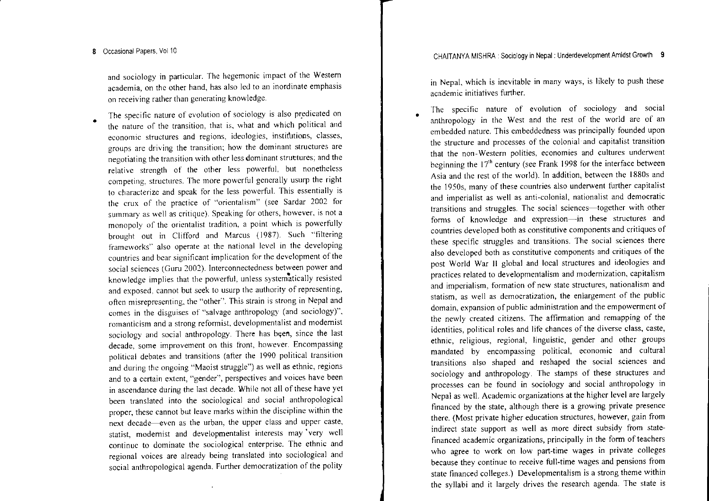•

**and sociology in particular. The hegemonic impact of the Western academia, on the other hand, has also led to an inordinate emphasis on receiving rather than generating knowledge.**

**The specific nature of evolution of sociology is also pt:,edicated on the nature of the transition, that is, what and which political and economic structures and regions, ideologies, institutions, classes, groups are driving the transition; hO\v the dominant structures are negotiating the transition \vith other less dominant struttures; and the relative strength of the other less powerful, but nonetheless competing, structures. The more powerful generally usurp the right to characterize and speak for the less powerful. This essentially is the crux of the practice of "orientalism" (see Sardar 2002 for summary as well as critique). Speaking for others, however. is not <sup>a</sup> monopoly of the orientalist tradition, <sup>a</sup> point \vhich is powerfully** brought out in Clifford and Marcus (1987). Such "filtering **frameworks" also operate at the national level in the developing countries and bear significant implication for the development of the social sciences (Guru 2002). lnterconnectedness between power and** knowledge implies that the powerful, unless systematically resisted **and exposed, cannot but seek to usurp the authority of representing, often misrepresenting. the "other". This strain is strong in Nepal and comes in the disguises of "salvage anth.ropology (and sociology)", romanticism and <sup>a</sup> strong reformist, developmentalist and modernist** sociology and social anthropology. There has been, since the last **decade, some improvement on this front, however. Encompassing** political debates and transitions (after the 1990 political transition and during the ongoing "Maoist struggle") as well as ethnic, regions **and to <sup>a</sup> certain extent, "gender", perspectives and voices have been** in ascendance during the last decade. While not all of these have yet been translated into the sociological and social anthropological **proper, these cannot but leave marks within the discipline within the next decade--even as the urban, the upper class and upper caste, statist, modernist and developmentalist interests may 'very well continue to dominate the sociological enterprise. The ethnic and regional voices are already being translated into sociological and** social anthropological agenda. Further democratization of the polity

in Nepal, which is inevitable in many ways, is likely to push these **academic initiatives further.**

•

**The specific nature of evolution of sociology and social** anthropology in the West and the rest of the world are of an embedded nature. This embeddedness was principally founded upon **the structure and processes of the colonial and capitalist transition that the non-Western polities, economies and cultures underwent** beginning the  $17<sup>th</sup>$  century (see Frank 1998 for the interface between Asia and the rest of the world). In addition, between the 1880s and the 1950s, many of these countries also underwent further capitalist **and imperialist as well as anti-colonial, nationalist and democratic transitions and struggles. The social sciences-together with other fonns of knowledge and expression-in these structures and countries developed both as constitutive components and critiques of these specific struggles and transitions. The social sciences there also developed both as constitutive components and critiques of the** pos<sup>t</sup> World War 11 global and local structures and ideologies and **practices related to** developmental ism **and modernization, capitalism and imperialism, formation of new state structures, nationalism and statism, as well as democratization, the enlargement of the public domain, expansion** of public **administration and the empowennent of** the newly created citizens. The affinnation and remapping of the **identities, political roles and life chances of the diverse class, caste,** ethnic, religious, regional, linguistic, gender and other groups mandated by encompassing political, economic and cultural transitions also shaped and reshaped the social sciences and sociology and anthropology. The stamps of these structures and processes can be found in sociology and social anthropology in Nepal as welL Academic organizations at the higher level are largely financed by the state, although there is <sup>a</sup> growing private presence there. (Most private higher education structures, however, gain ITom indirect state suppor<sup>t</sup> as well as more direct subsidy ITom statefinanced academic organizations, principally in the form of teacher who agree to work on low part-time wages in private college because they continue to receive full-time wages and pensions ITom state financed colleges.) Developmentalism is <sup>a</sup> strong theme within the syllabi and it largely drives the research agenda. The state is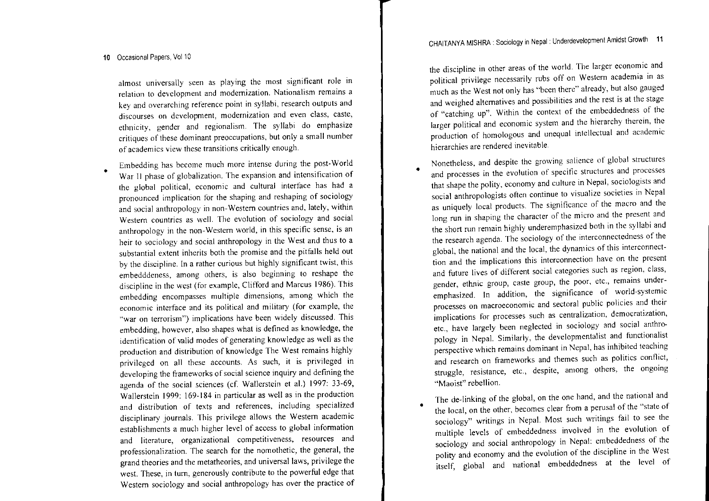**almost universally seen as playing the most significant role In relation to development and modernization. Nationalism remains <sup>a</sup> key and Qverarching reference point in syllabi, research outputs and discourses on development, modernization and even class, caste,** ethnicity, gender and regionalism. The syllabi do emphasize **critiques of these dominant preoccupations, but only <sup>a</sup> small number of academics view these transitions critically enough.**

•**Embedding has become much more intense during the post-World War 11 phase of globalization. The expansion and intensification of the global political, economic and cultural interface has had <sup>a</sup> pronounced implication for the shaping and reshaping of sociology and social anthropology in non-Western countries and, lately, within Western countries as well. The evolution of sociology and social anthropology in the non-Western world, in this specific sense, is an** heir to sociology and social anthropology in the West and thus to <sup>a</sup> substantial extent inherits both the promise and the pitfalls held out by the discipline. In <sup>a</sup> rather curious but highly significant twist, this **embedddeness, among others, is also beginning to reshape the** discipline in the west (for example, Clifford and Marcus 1986). This **embedding encompasses multiple dimensions, among which the economic interface and its political and military (for example, the "war on terrorism") implications have been widely discussed. This** embedding, however, also shapes what is defined as knowledge, the identification of valid modes of generating knowledge as well as the production and distribution of knowledge The West remains highly **privileged on all these accounts. As such, it is privileged in** developing the frameworks of social science inquiry and defining the agenda of the social sciences (cf. Wallerstein et aL) 1997: 33-69, Wallerstein 1999: 169-184 in particular as well as in the production **and distribution of texts and references, including specialized** disciplinary journals. This privilege allows the Western academic establishments a much higher level of access to global information **and literature, organizational competitiveness, resources and** professionalization. The search for the nomothetic, the general, the grand theories and the metatheories, and universal laws, privilege the west. These, in turn, generously contribute to the powerful edge that Western sociology and social anthropology has over the practice of

the discipline in other areas of the world. The larger economic and **political privilege necessarily rubs off on Western academia in as** much as the West not only has "been there" already, but also gauged and weighed alternatives and possibilities and the rest is at the stage of "catching up". Within the context of the embeddedness of the **larger political and economic system and the hierarchy therein, the production of homologous and unequal intellectual and academic hierarchies are rendered inevitable.**

•

•

- **Nonetheless, and despite the gn1\ving salience of global structures and processes in the evolution of specific structures and processes** that shape the polity, economy and culture in Nepal, sociologists and **social anthropologists often continue to visualize societies in Nepal as uniquely local products. The significance of the macro and the long run in shaping the character of the micro and the present and** the short run remain highly underemphasized both in the syllabi and **the research agenda. The sociology of the interconnectedness of the** global, the national and the local, the dynamics of this interconnect**tion and the implications this interconnection have on the present and future lives of different social categories such as region, class, gender, ethnic group, caste group, the poor, etc., remains under**emphasized. In addition, the significance of world-systemic **processes on macroeconomic and sectoral public policies and their implications for processes such as centralization, democratization, etc., have largely been neglected in sociology and social anthro**pology in NepaL Similarly, the developmentalist and functionalist **perspective which remains dominant in Nepal, has inhibited teaching and research on frameworks and themes such as politics conflict, struggle, resistance, etc., despite, among others, the ongoing "Maoist" rebellion.**
- The de-linking of the global, on the one hand, and the national and the local, on the other, becomes clear from <sup>a</sup> perusal of the "state of sociology" writings in NepaL Most such writings fail to see the multiple levels of embeddedness involved in the evolution of sociology and social anthropology in Nepal: embeddedness of the polity and economy and the evolution of the discipline in the West itself, global and national embeddedness at the level of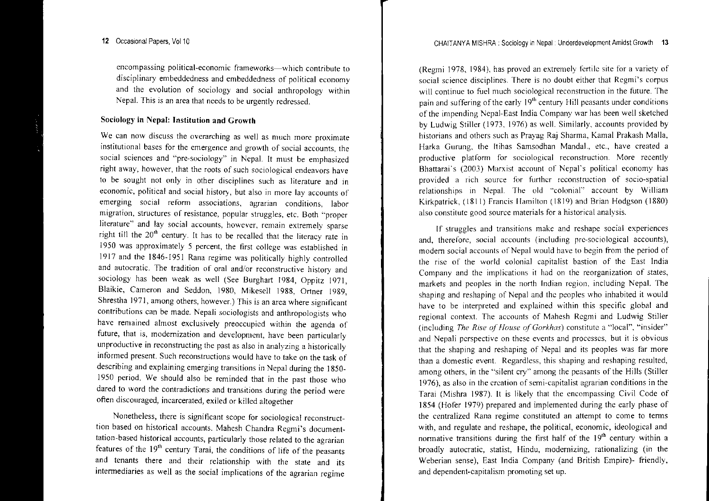encompassing political-economic frameworks-which contribute to disciplinary embeddedness and embeddedness of political economy and the evolution of sociology and social anthropology within Nepa!. This is an area that needs to be urgently redressed.

## Sociology in Nepal: Institution and Growth

we can now discuss the overarching as well as much more proximate institutional bases for the emergence and growth of social accounts, the social sciences and "pre-sociology" in Nepal. It must be emphasized right away, however, that the roots of such sociological endeavors have to be sought not only in other disciplines such as literature and in economic, political and social history, but also in more lay accounts of emerging social reform associations, agrarian conditions, labor migration, structures of resistance, popular struggles, etc. Both "proper literature" and lay social accounts, however, remain extremely sparse right till the 20'h century. It has to be recalled that the literacy rate in 1950 was approximately 5 percent, the first college was established in 1917 and the 1846-1951 Rana regime was politically highly controlled and autocratic. The tradition of oral and/or reconstructive history and sociology has been weak as well (See Burghart 1984, Oppitz 1971, Blaikie, Cameron and Seddon, 1980, Mikesell 1988, Ortner 1989, Shrestha 1971, among others, however.) This is an area where significant contributions can be made. Nepali sociologists and anthropologists who have remained almost exclusively preoccupied within the agenda of future, that is, modernization and development, have been particularly unproductive in reconstructing the pas<sup>t</sup> as also in analyzing <sup>a</sup> historically informed present. Such reconstructions would have to take on the task of describing and explaining emerging transitions in Nepal during the 1850- 1950 period. We should also be reminded that in the pas<sup>t</sup> those who aared to word the contradictions and transitions during the period were often discouraged, incarcerated, exiled or killed altogether

Nonetheless, there is significant scope for sociological reconstructtion based on historical accounts. Mahesh Chandra Regmi's documentation-based historical accounts, particularly those related to the agrarian features of the 19" century Tarai, the conditions of life of the peasants and tenants there and their relationship with the state and its intennediaries as well as the social implications of the agrarian regime

(Regmi 1978, t984), has proved an extremely fertile site for <sup>a</sup> variety of social science disciplines. There is no doubt either that Regmi's corpu will continue to fuel much sociological reconstruction in the future. The pain and suffering of the early  $19<sup>th</sup>$  century Hill peasants under conditions of the impending Nepal-East India Company war has been well sketched by Ludwig Stiller (1973, 1976) as well. Similarly, accounts provided by historians and others such as Prayag Raj Sharma, Kamal Prakash Malla, Harka Gurung, the Itihas Samsodhan Manda!., etc., have created <sup>a</sup> productive platform for sociological reconstruction. More recently Bhattarai's (2003) Marxist account of Nepal's political economy has provided <sup>a</sup> rich source for further reconstruction of socio-spatial relationships in Nepal. The old "colonial" account by William Kirkpatrick, (1811) francis Hamilton (1819) and Brian Hodgson (1880) also constitute good source materials for <sup>a</sup> historical analysis.

If struggles and transitions make and reshape social experiences and, therefore, social accounts (including pre-sociological accounts), modem social accounts of Nepal would have to begin from the period of the risc of the world colonial capitalist bastion of the East India Company and the implications it had on the reorganization of states, markets and peoples in the north Indian region, including Nepal. The shaping and reshaping of Nepal and the peoples who inhabited it would have to be interpreted and explained within this specific global and regional context. The accounts of Mahesh Regmi and Ludwig Stiller (including *The Rise of House of Gorkhas*) constitute a "local", "insider" and Nepali perspective on these events and processes, but it is obvious that the shaping and reshaping of Nepal and its peoples was far more than <sup>a</sup> domestic event. Regardless, this shaping and reshaping resulted, among others, in the "silent cry" among the peasants of the Hills (Stiller 1976), as also in the creation of semi-capitalist agrarian conditions in the Tarai (Mishra 1987). It is likely that the encompassing Civil Code of 1854 (Hofer 1979) prepared and implemented during the early phase of the centralized Rana regime constituted an attempt to come to terms with, and regulate and reshape, the political, economic, ideological and normative transitions during the first half of the 19<sup>th</sup> century within a broadly autocratic, statist, Hindu, modemizing, rationalizing (in the Weberian sense), East India Company (and British Empire)- friendly, and dependent-capitalism promoting set up.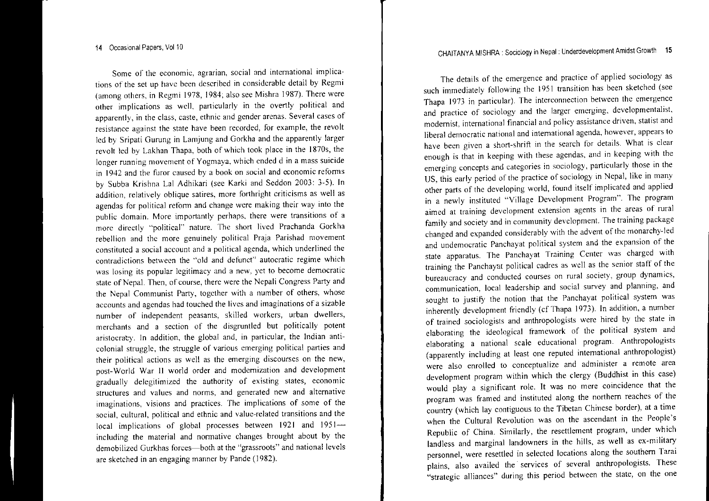**Some of the economic, agrarian, social and international implications of the set lip have been described in considerable detail by Regmi** (among others, in Regmi 1978, 1984; also see Mishra 1987). There were other implications as well, particularly in the overtly political and **apparently, in the class, caste, ethnic and gender arenas. Several cases of resistance against the state have been recorded, for example, the revolt** led by Sripati Gurung in Lamjung and Gorkha and the apparently larger revolt led by Lakhan Thapa, both of which took place in the 1870s, the **longer running movement of Yogmaya, which ended d in <sup>a</sup> mass suicide in 1942 and the furor caused by <sup>a</sup> book on social and economic refonns** by Subba Krishna Lal Adhikari (see Karki and Seddon 2003: 3-5). In **addition, relatively oblique satires, more forthright criticisms as well as agendas for political retonn and change were making their way into the public domain. More importantly perhaps, there were transitions of <sup>a</sup>** morc directly "political" nature. The short lived Prachanda Gorkha **rebellion and the more genuinely political Praja Parishad movement constituted <sup>a</sup> social account and <sup>a</sup> political agenda, which underlined the contradictions bet\\'een the "old and defunct" autocratic regime which was losing its popular legitimacy and <sup>a</sup> new, yet to become democratic** state of Nepal. Then, of course, there were the Nepali Congress Party and the Nepal Communist Party, together with a number of others, whose **accounts and agendas had touched the lives and imaginations of <sup>a</sup> sizable** number of independent peasants, skilled workers, urban dwellers merchants and a section of the disgruntled but politically potent aristocraty. In addition, the global and, in particular, the Indian anti**colonial struggle, the struggle of various emerging political parties and their political actions as well as the emerging discourses on the new,** post-World War 11 world order and modernization and development gradually delegitimized the authority of existing states, economic **structures and values and norms, and generated new and alternative imaginations, visions and practices. The implications of some of the social, cultural, political and ethnic and value-related transitions and the** local implications of global processes between 1921 and 1951 including the material and normative changes brought about by the demobilized Gurkhas forces-both at the "grassroots" and national level are sketched in an engaging manner by Pande (1982).

The details of the emergence and practice of applied sociology as  $\mu$ ch immediately following the 1951 transition has been sketched (see Thapa 1973 in particular). The interconnection between the emergence **and practice of sociology and the larger emerging, developmentalist, modernist, international financial and policy assistance driven, statist and liberal democratic national and international agenda, however, appears to have been given <sup>a</sup> short-shrift in the search for details. What is clear enough is that in keeping with these agendas, and in keeping with the emerging concepts and categories in sociology, particularly those in the** US, this early period of the practice of sociology in Nepal, like in many other parts of the developing world, found itself implicated and applied **in <sup>a</sup> newly instituted "Village Development Program". The program aimed at training development extension agents in the areas of rural family and society and in community development. The training package** changed and expanded considerably with the advent of the monarchy-led **and undemocratic Panchayat political system and the expansion of the state apparatus. The Panchayat Training Center was charged with** training the Panchayat political cadres as well as the senior staff of the **bureaucracy and conducted courses on rural society, group dynam ics, communication, local leadership and social survey and planning, and** sought to justify the notion that the Panchayat political system was inherently development friendly (cf Thapa 1973). In addition, <sup>a</sup> number **of trained sociologists and anthropologists \vere hired by the state in** elaborating the ideological framework of the political system and **elaborating <sup>a</sup> national scale educational program. Anthropologists** (apparently including at least one reputed international anthropologist) **were also enrolled to conceptualize and administer <sup>a</sup> remote area** development program within which the clergy (Buddhist in this case) **would play <sup>a</sup> significant role. It was no mere coincidence that the** program was framed and instituted along the northern reaches of the country (which lay contiguous to the Tibetan Chinese border), at <sup>a</sup> time when the Cultural Revolution was on the ascendant in the People's Republic of China. Similarly, the resettlement program, under which landless and marginal landowners in the hills, as well as ex-military **personnel, were resettled in selected locations along the southern Tarai** plains, also availed the services of several anthropologists. These **"strategic alliances" during this period between the state, on the one**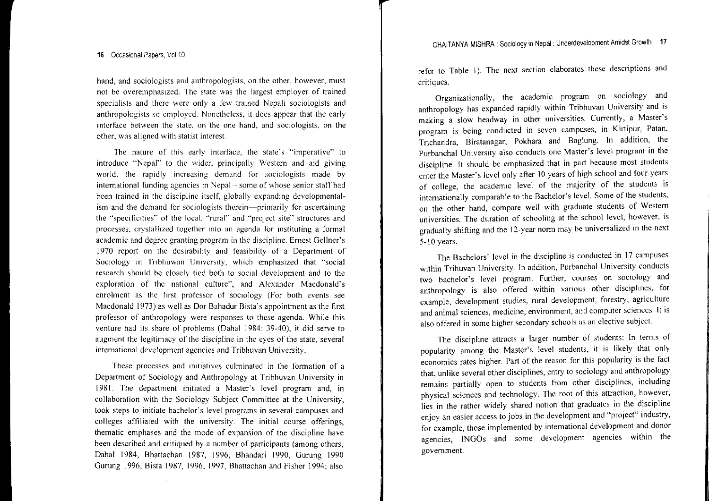**hand, and sociologists and anthropologists, on the other, however, must not be overemphasized. The state was the largest employer of trained specialists and there were only <sup>a</sup> few trained Nepali sociologists and** anthropologists so employed. Nonetheless, it does appear that the early **interface between the state, on the one hand, and sociologists, on the other, was aligned with statist interest.**

**The nature of this early interface, the state's "imperative" to introduce "Nepal" to the \vIder, principally \Vestern and aid giving world, the rapidly increasing demand for sociologists made by international funding agencies in Nepal-- some of \\'hose senior statf had** been trained in the discipline itself, globally expanding developmental**ism and the demand for sociologists therein-primarily for ascertaining the "specificities" of the local, "rural" and "project site" structures and processes. crystallized together into an agenda for instituting <sup>a</sup> formal academic and degree granting program in the discipline. Emest Gellner's** 1970 repor<sup>t</sup> on the desirability and feasibility of <sup>a</sup> Department of **Sociology** in Tribhuwan University, which emphasized that "social research should be closely tied both to social development and to the exploration of the national culture", and Alexander Macdonald's **enrolment as the first professor of sociology (For both events see** Macdonald 1973) as well as Dor Bahadur Bista's appointment as the first **professor of anthropology \vere responses to these agenda. While this** venture had its share of problems (Dahal 1984: 39-40), it did serve to **augment the legitimacy of the discipline in the eyes of the state. several international development agencies and Tribhuvan University.**

**These processes and initiatives culminated in the formation of <sup>a</sup>** Department of Sociology and Anthropology at Tribhuvan University in 1981. The department initiated <sup>a</sup> Master's level program and, in collaboration with the Sociology Subject Committee at the University, **took steps to initiate bachelor's level programs in several campuses and** colleges affiliated with the university. The initial course offerings, thematic emphases and the mode of expansion of the discipline have been described and critiqued by <sup>a</sup> number of participants (among others, Dahal 1984, Bhattachan 1987, 1996, Bhandari 1990, Gurung 1990 Gurung 1996, Bista 1987, 1996, 1997, Bhattachan and Fisher 1994; also

refer to Table I). The next section elaborates these descriptions and **critiques.**

Organizationally, the academic program on sociology and anthropology has expanded rapidly within Tribhuvan University and is **making <sup>a</sup> slow headway in other universities. Currently, <sup>a</sup> Master's program is being conducted in seven campuses, in Kirtipur,** Patan, Trichandra, Biratanagar, Pokhara and Baglung. In addition, the Purbanchal University also conducts one Master's level program in the discipline. It should be emphasized that in par<sup>t</sup> because most students enter the Master's level only after 10 years of high school and four years of college, the academic level of the majority of the students is internationally comparable to the Bachelor's level. Some of the students, **on the other hand, compare well with graduate students of Western universities. The duration of schooling at the school level, however, is** gradually shifting and the 12-year norm may be universalized in the next 5- I0 years.

The Bachelors' level in the discipline is conducted in 17 campuses **within Trihuvan University. In addition, Purbanchal University conducts two bachelor's level program. Further, courses on sociology and anthropology is also offered within various other disciplines, for example, development studies, rural development, forestry, agriculture and animal sciences, medicine, environment, and computer sciences. It is also offered in some higher secondary schools as an elective subject.**

The discipline attracts <sup>a</sup> larger number of students: In terms of popularity among the Master's level students, it is likely that only economics rates higher. Part of the reason for this popularity is the fact that, unlike several other disciplines, entry to sociology and anthropology remains partially open to students from other disciplines, including physical sciences and technology. The root of this attraction, however, lies in the rather widely shared notion that graduates in the discipline **enjoy an easier access to jobs in the development and "project" industry,** for example, those implemented by international development and donor agencies, INGOs and some development agencies within the **government.**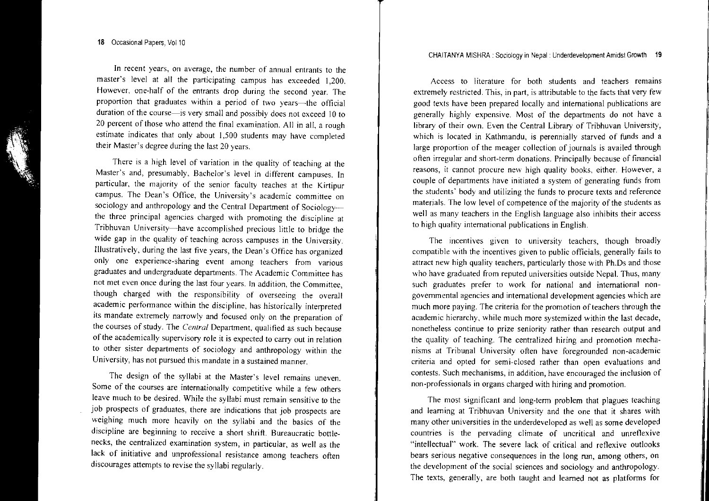**In recent years, on average, the number of annual entrants to the** master's level at all the participating campus has exceeded 1,200. However, one-half of the entrants drop during the second year. The proportion that graduates within a period of two years-the official duration of the course—is very small and possibly does not exceed 10 to 20 percen<sup>t</sup> of those who attend the final examination. All in all, <sup>a</sup> rough estimate indicates that only about 1,500 students may have completed their Master's degree during the last 20 years.

There is <sup>a</sup> high level of variation in the quality of teaching at the **Master's and, presumably, Bachelor's level in different campuses. In particular, the majority of the senior faculty teaches at the Kirtipur campus. The Dean's Office, the University's academic committee on** sociology and anthropology and the Central Department of Sociology**the three principal agencies charged with promoting the discipline at** Tribhuvan University-have accomplished precious little to bridge the wide gap in the quality of teaching across campuses in the University. Illustratively, during the last five years, the Dean's Office has organized **only one experience-sharing event among teachers from various graduates and undergraduate departments. The Academic Committee has not met even once during the last four years. In addition, the Committee,** though charged with the responsibility of overseeing the overall **academic perfonnance within the discipline, has historically interpreted its mandate extremely narrowly and focused only on the preparation of** the courses of study. The *Central* Department, qualified as such because ofthe **academically supervisol)' role it is expected to carry out in relation** to other sister departments of sociology and anthropology within the **University, has not pursued this mandate in <sup>a</sup> sustained manner.**

The design of the syllabi at the Master's level remains uneven. **Some of the courses are internationally competitive while <sup>a</sup> few others** leave much to be desired. While the syllabi must remain sensitive to the job prospects of graduates, there are indications that job prospects are weighing much more heavily on the syllabi and the basics of the discipline are beginning to receive <sup>a</sup> short shrift. Bureaucratic bottle**necks, the centralized examination system, in particular, as well as the lack of initiative and unprofessional resistance among teachers often** discourages attempts to revise the syllabi regularly.

**Access to literature for both students and teachers remains** extremely restricted. This, in part, is attributable to the facts that very few good texts have been prepared locally and international publications are generally highly expensive. Most of the departments do not have <sup>a</sup> library of their own. Even the Central Library of Tribhuvan University, which is located in Kathmandu, is perennially starved of funds and <sup>a</sup> large proportion of the meager collection of journals is availed through **often irregular and short-tenn donations. Principally because of financial**  $r$  **reasons**, it cannot procure new high quality books, either. However, a **couple of departments have initiated <sup>a</sup> system of generating funds from** the students' body and utilizing the funds to procure texts and reference materials. The low level of competence of the majority of the students as **well as many teachers in the English language also inhibits their access** to high quality international publications in English.

**The incentives given to university teachers, though broadly** compatible with the incentives given to public officials, generally fails to attract new high quality teachers, particularly those with Ph.Ds and those **who have graduated from reputed universities outside Nepal. Thus, many such graduates prefer to work for national and international nongovernmental agencies and international development agencies which are** much more paying. The criteria for the promotion of teachers through the **academic hierarchy, while much more systemized within the last decade, nonetheless continue to prize seniority rather than research output and** the quality of teaching. The centralized hiring and promotion mecha**nisms at Tribunal University often have foregrounded non-academic criteria and opted for semi-closed rather than open evaluations and contests. Such mechanisms, in addition, have encouraged the inclusion of non-professionals in organs charged with hiring and promotion.**

The most significant and long-term problem that plagues teaching and learning at Tribhuvan University and the one that it shares with many other universities in the underdeveloped as well as some developed **countries is the pervading climate of uncritical and unreflexive** "intellectual" work. The severe lack of critical and reflexive outlooks **bears serious negative consequences in the long run, among others, on** the development of the social sciences and sociology and anthropology. The texts, generally, are both taught and learned not as platforms for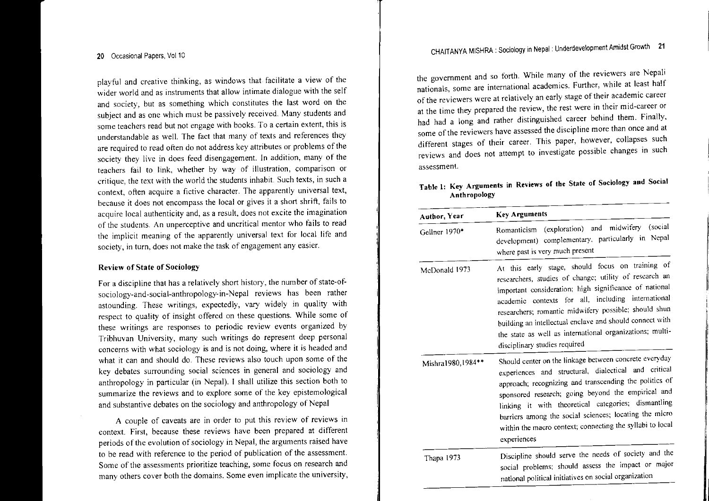<sup>p</sup>layful and creative thinking, as windows that facilitate <sup>a</sup> view of the wider world and as instruments that allow intimate dialogue with the self and society, but as something which constitutes the last word on the subject and as one which must be passively received. Many students and **some teachers read but not engage with books. To a certain extent, this is** understandable as well. The fact that many of texts and references they are required to read often do not address key attributes or problems of the society they live in does feed disengagement. In addition, many of the teachers fail to link, whether by way of illustration, comparison or critique, the text with the world the students inhabit. Such texts, in such <sup>a</sup> **context, often acquire <sup>a</sup> fictive character. The apparently universal text, because it does not encompass the local or <sup>g</sup>ives it <sup>a</sup> short shrift, fails to acquire local authenticity and, as <sup>a</sup> result, does not excite the imagination of the students. An unperceptive and uncritical mentor who fails to read the implicit meaning of the apparently universal text for local life and society, in turn, does not make the task of engagemen<sup>t</sup> any easier.**

#### Review of State of Sociology

For a discipline that has a relatively short history, the number of state-ofsociology-and~social-anthropology-in\_Nepal **reviews has been rather** astounding. These writings, expectedly, vary widely in quality with respec<sup>t</sup> to quality of insight offered on these questions. While some of **these writings are responses to periodic review events organized by Tribhuvan University, many such writings do represen<sup>t</sup> deep persona<sup>l</sup> concerns with what sociology is and is not doing, where it is headed and** what it can and should do. These reviews also touch upon some of the **key debates surrounding social sciences in genera<sup>l</sup> and sociology and** anthropology in particular (in Nepal). <sup>I</sup> shall utilize this section both to summarize the reviews and to explore some of the key epistemological and substantive debates on the sociology and anthropology of Nepal

**A couple of caveats are in order to put this review of reviews In context. First, because these reviews have been prepare<sup>d</sup> at different** periods of the evolution of sociology in Nepal, the arguments raised have to be read with reference to the period of publication of the assessment. **Some of the assessments prioritize teaching, some focus on research and many others cover both the domains. Some even implicate the university,**

the governmen<sup>t</sup> and so forth. While many of the reviewers are Nepali **nationals, some are international academics. Further, while at least half** ofthe **reviewers were at relatively an early stage** oftheir **academic career at the time they prepare<sup>d</sup> the review, the rest were in their mid-career or** had had <sup>a</sup> long and rather distinguished career behind them. Finally, **some** ofthe **reviewers have assessed the discipline more than once and at** different stages of their career. This paper, however, collapses such **reviews and does not attempt to investigate possible changes in such assessment.**

## **Table 1: Key Arguments in Reviews of the State of Sociology and Social Anthropology**

| Author, Year      | <b>Key Arguments</b>                                                                                                                                                                                                                                                                                                                                                                                                                         |  |  |
|-------------------|----------------------------------------------------------------------------------------------------------------------------------------------------------------------------------------------------------------------------------------------------------------------------------------------------------------------------------------------------------------------------------------------------------------------------------------------|--|--|
| Gellner 1970*     | (exploration) and midwifery (social<br>Romanticism<br>development) complementary, particularly in Nepal<br>where past is very much present                                                                                                                                                                                                                                                                                                   |  |  |
| McDonald 1973     | At this early stage, should focus on training of<br>researchers, studies of change; utility of research an<br>important consideration; high significance of national<br>academic contexts for all, including international<br>researchers; romantic midwifery possible; should shun<br>building an intellectual enclave and should connect with<br>the state as well as international organizations; multi-<br>disciplinary studies required |  |  |
| Mishra1980,1984** | Should center on the linkage between concrete everyday<br>experiences and structural, dialectical and critical<br>approach; recognizing and transcending the politics of<br>sponsored research; going beyond the empirical and<br>linking it with theoretical categories; dismantling<br>barriers among the social sciences; locating the micro<br>within the macro context; connecting the syllabi to local<br>experiences                  |  |  |
| Thapa 1973        | Discipline should serve the needs of society and the<br>social problems; should assess the impact or major<br>national political initiatives on social organization                                                                                                                                                                                                                                                                          |  |  |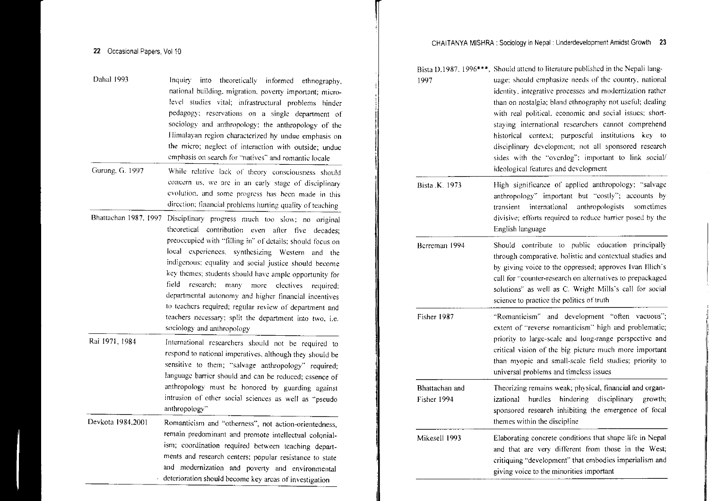| Dahal 1993            | Inquiry into theoretically informed ethnography,<br>national building, migration, poverty important; micro-<br>level studies vital; infrastructural problems hinder<br>pedagogy; reservations on a single department of<br>sociology and anthropology; the anthropology of the<br>Himalayan region characterized hy undue emphasis on<br>the micro; neglect of interaction with outside; undue<br>emphasis on search for "natives" and romantic locale                                                                                                                                                            |
|-----------------------|-------------------------------------------------------------------------------------------------------------------------------------------------------------------------------------------------------------------------------------------------------------------------------------------------------------------------------------------------------------------------------------------------------------------------------------------------------------------------------------------------------------------------------------------------------------------------------------------------------------------|
| Gurung, G. 1997       | While relative lack of theory consciousness should<br>concern us, we are in an early stage of disciplinary<br>evolution, and some progress has been made in this<br>direction; financial prohlems hurting quality of teaching                                                                                                                                                                                                                                                                                                                                                                                     |
| Bhattachan 1987, 1997 | Disciplinary progress much too slow; no original<br>theoretical contribution even after five decades;<br>preoccupied with "filling in" of details; should focus on<br>local experiences, synthesizing Western<br>and the<br>indigenous; equality and social justice should become<br>key themes; students should have ample opportunity for<br>field<br>research:<br>many more electives<br>required;<br>departmental autonomy and higher financial incentives<br>to teachers required; regular review of department and<br>teachers necessary; split the department into two, i.e.<br>sociology and anthropology |
| Rai 1971, 1984        | International researchers should not be required to<br>respond to national imperatives, although they should be<br>sensitive to them; "salvage anthropology" required;<br>language barrier should and can be reduced; essence of<br>anthropology must be honored by guarding against<br>intrusion of other social sciences as well as "pseudo<br>anthropology"                                                                                                                                                                                                                                                    |
| Devkota 1984,2001     | Romanticism and "otherness", not action-orientedness,<br>remain predominant and promote intellectual colonial-<br>ism; coordination required between teaching depart-<br>ments and research centers; popular resistance to state<br>and modernization and poverty and environmental                                                                                                                                                                                                                                                                                                                               |

deterioration should become key areas of investigation

| 1997                          | Bista D.1987, 1996***, Should attend to literature published in the Nepali lang-<br>uage; should emphasize needs of the country, national<br>identity, integrative processes and modernization rather<br>than on nostalgia; bland ethnography not useful; dealing<br>with real political, economic and social issues; short-<br>staying international researchers cannot comprehend<br>context; purposeful institutions<br>historical<br>key to<br>disciplinary development; not all sponsored research<br>sides with the "overdog"; important to link social/<br>ideological features and development |
|-------------------------------|--------------------------------------------------------------------------------------------------------------------------------------------------------------------------------------------------------------------------------------------------------------------------------------------------------------------------------------------------------------------------------------------------------------------------------------------------------------------------------------------------------------------------------------------------------------------------------------------------------|
| Bista .K. 1973                | High significance of applied anthropology; "salvage<br>anthropology" important but "costly"; accounts by<br>international<br>anthropologists<br>sometimes<br>transient<br>divisive; efforts required to reduce barrier posed by the<br>English language                                                                                                                                                                                                                                                                                                                                                |
| Berreman 1994                 | Should contribute to public education principally<br>through comparative, holistic and contextual studies and<br>by giving voice to the oppressed; approves Ivan Illich's<br>call for "counter-research on alternatives to prepackaged<br>solutions" as well as C. Wright Mills's call for social<br>science to practice the politics of truth                                                                                                                                                                                                                                                         |
| Fisher 1987                   | "Romanticism" and development "often vacuous";<br>extent of "reverse romanticism" high and problematic;<br>priority to large-scale and long-range perspective and<br>critical vision of the big picture much more important<br>than myopic and small-scale field studies; priority to<br>universal problems and timeless issues                                                                                                                                                                                                                                                                        |
| Bhattachan and<br>Fisher 1994 | Theorizing remains weak; physical, financial and organ-<br>disciplinary<br>izational hurdles hindering<br>growth;<br>sponsored research inhibiting the emergence of focal<br>themes within the discipline                                                                                                                                                                                                                                                                                                                                                                                              |
| Mikesell 1993                 | Elaborating concrete conditions that shape life in Nepal<br>and that are very different from those in the West;<br>critiquing "development" that embodies imperialism and<br>giving voice to the minorities important                                                                                                                                                                                                                                                                                                                                                                                  |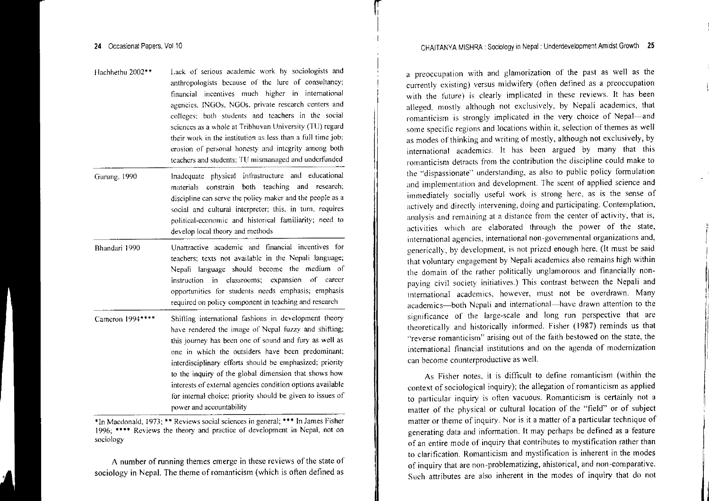- f1achhethu 2002\*\* Lack of serious academic work by sociologists and anthropologists because of the lure of consultancy; tinancial incentives much higher in international agencies. INGOs, NGOs. private research centers and colleges; both students and teachers in the social sciences as a \\'ho1c at Tribhuvan University (TU) regard their work in the institution as less than <sup>a</sup> full time job; erosion of personal honesty and integrity among both teachers and students; 'I'll mismanaged and underfunded
- Gurung, 1990 Inadequate physical infrastructure and educational materials constrain both teaching and research; discipline can serve the policy maker and the people as <sup>a</sup> social and cultural interpreter; this. in turn, requires political-economic and historical familiarity; need to develop local theory and methods
- Bhandari 1990 Unattractive academic and financial incentives for teachers; texts not available in the Nepali language; Nepali language should become the medium of instruction in classrooms: expansion of career opportunities for students needs emphasis; emphasis required on policy componen<sup>t</sup> in teaching and research
- Cameron 1994\*\*\*\* Shifting international fashions in development theory have rendered the image of Nepal fuzzy and shifting; this journey has been one of sound and fury as well as one in which the outsiders have been predominant; interdisciplinary efforts should be emphasized; priority to the inquiry of the global dimension that shows how interests of external agencies condition options available for internal choice; priority should be given to issues of power and accountability

\*In Macdonald. 1973; \*\* Reviews social sciences in general; \*\*\* In James Fisher 1996: \*\*\*\* Reviews the theory and practice of development in Nepal, not on sociology

A number of running themes emerge in these reviews of the state of sociology in Nepal. The theme of romanticism (which is often defined as

a preoccupation with and glamorization of the pas<sup>t</sup> as well as the currently existing) versus midwifery (often defined as <sup>a</sup> preoccupation with the future) is clearly implicated in these reviews. It has been alleged, mostly although not exclusively, by Nepali academics, that romanticism is strongly implicated in the very choice of Nepal-and some specific regions and locations within it, selection of themes as well as modes of thinking and writing of mostly, although not exclusively, by international academics. It has been argued by many that this romanticism detracts from the contribution the discipline could make to the "dispassionate" understanding, as also to public policy formulation and implementation and development. The scent of applied science and immediately socially useful work is strong here, as is the sense of actively and directly intervening, doing and participating. Contemplation. analysis and remaining at <sup>a</sup> distance from the center of activity, that is. activities which are elaborated through the power of the state, international agencies, international non-governmental organizations and, generically, by development, is not prized enough here, (It must be said that voluntary engagement by Nepali academics also remains high within the domain of the rather politically unglamorous and financially nonpaying civil society initiatives.) This contrast between the Nepali and international academics, however, must not be overdrawn. Many academics-both Nepali and international-have drawn attention to the significance of the large-scale and long run perspective that are theoretically and historically informed, Fisher (1987) reminds us that "reverse romanticism" arising out of the faith bestowed on the state, the international financial institutions and on the agenda of modernization can become counterproductive as well.

As Fisher notes, it is difficult to define romanticism (within the context of sociological inquiry); the allegation of romanticism as applied to particular inquiry is often vacuous. Romanticism is certainly not <sup>a</sup> matter of the physical or cultural location of the "field" or of subject matter or theme of inquiry. Nor is it <sup>a</sup> matter of <sup>a</sup> particular technique of generating data and information. It may perhaps be defined as a feature of an entire mode of inquiry that contributes to mystification rather than to clarification. Romanticism and mystification is inherent in the modes of inquiry that are non-problematizing, ahistorical, and non-comparative, Such attributes are also inherent in the modes of inquiry that do no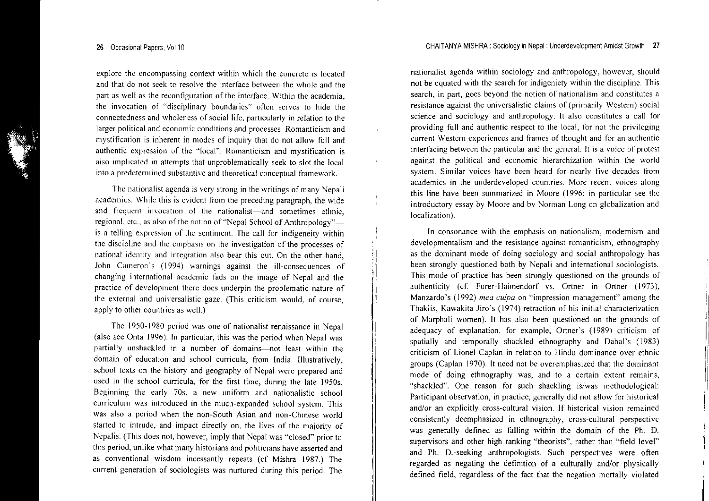**explore the encompassing context within which the concrete is located and that do not seek to resolve the interface between the whole and the part as well as the reconfiguration of the interface. Within the academia, the invocation of "disciplinary boundaries"' often serves to hide the connectedness and wholeness ofsocial life, particularly in relation to the larger political and economic conditions and processes. Romanticism and mystification is inherent in modes of inquiry that do not allow full and authentic expression of the "local". Romanticism and mystification is** also implicated in attempts that unproblematically seek to slot the local **into <sup>a</sup> predetermined substantive and theoretical conceptual framework.**

**The nationalist agenda is very strong in the writings** of many **Nepali academics. \\/hile this is evident from the preceding paragraph, the wide and frequent invocation of the nationalist-and sometimes ethnic,** regional, etc., as also of the notion of "Nepal School of Anthropology"**is a telling expression of the sentiment. The call for indigeneity within the discipline and the emphasis on the investigation of the processes of national identity and integration also bear this out. On the other hand,** John Cameron's (1994) warnings against the ill-consequences of **changing international academic fads on the image of Nepal and the practice of development there does underpin the problematic nature of the external and universalistic gaze. (This criticism would, of course,** apply to other countries as welL)

The 1950-1980 period was one of nationalist renaissance in Nepal (also see Onta 1996). In particular, this was the period when Nepal was partially unshackled in a number of domains-not least within the domain of education and school curricula, trom India. Illustratively, school texts on the history and geography of Nepal were prepared and used in the school curricula, for the first time, during the late 1950s. **Beginning the early 70s, <sup>a</sup> new uniform and nationalistic school curriculum was introduced in the much-expanded school system. This was also <sup>a</sup> period when the non-South Asian and non-Chinese world** started to intrude, and impact directly on, the lives of the majority of Nepalis. (This does not, however, imply that Nepal was "closed" prior to this period, unlike what many historians and politicians have asserted and as conventional wisdom incessantly repeats (cf Mishra 1987.) The current generation of sociologists was nurtured during this period. The

**nationalist agenda within sociology and anthropology, however, should** not be equated with the search for indigeniety within the discipline. This **search, in part, goes beyond the notion of national ism and constitutes <sup>a</sup> resistance against the universalistic claims of (primarily Western) social science and sociology and anthropology. It also constitutes <sup>a</sup> call for** providing full and authentic respec<sup>t</sup> to the local, for not the privileging **current Western experiences and frames of thought and for an authentic interfacing between the particular and the general. It is <sup>a</sup> voice of protest against the political and economic hierarchization within the world system. Similar voices have been heard for nearly five decades from academics in the underdeveloped countries. More recent voices along** this line have been summarized in Moore (1996; in particular see the introductory essay by Moore and by Norman Long on globalization and localization).

 $\mathbf{f}$ 

 $\mathbf{1}$ 

**In consonance with the emphasis on nationalism, modernism and developmentalism and the resistance against romanticism, ethnography** as the dominant mode of doing sociology and social anthropology has been strongly questioned both by Nepali and international sociologists. **This mode of practice has been strongly questioned on the grounds of** authenticity (cf. Furer-Haimendorf vs. Ortner in Ortner (1973), Manzardo's (1992) *mea culpa* on "impression management" among the Thaklis, Kawakita liro's (1974) retraction of his initial characterization of Marphali women). It has also been questioned on the grounds of adequacy of explanation, for example, Ortner's (1989) criticism of spatially and temporally shackled ethnography and Dahal's (1983) **criticism of Lionel CapJan in relation to Hindu dominance over ethnic** groups (Caplan 1970). It need not be overemphasized that the dominant **mode of doing ethnography was, and to <sup>a</sup> certain extent remains,** "shackled". One reason for such shackling is/was methodological: Participant observation, in practice, generally did not allow for historical **and/or an explicitly cross-cultural vision. If historical vision remained** consistently deemphasized in ethnography, cross-cultural perspective was generally defined as falling within the domain of the Ph. D. supervisors and other high ranking "theorists", rather than "field level" and Ph. D.-seeking anthropologists. Such perspectives were often regarded as negating the definition of <sup>a</sup> culturally and/or physically defined field, regardless of the fact that the negation mortally violated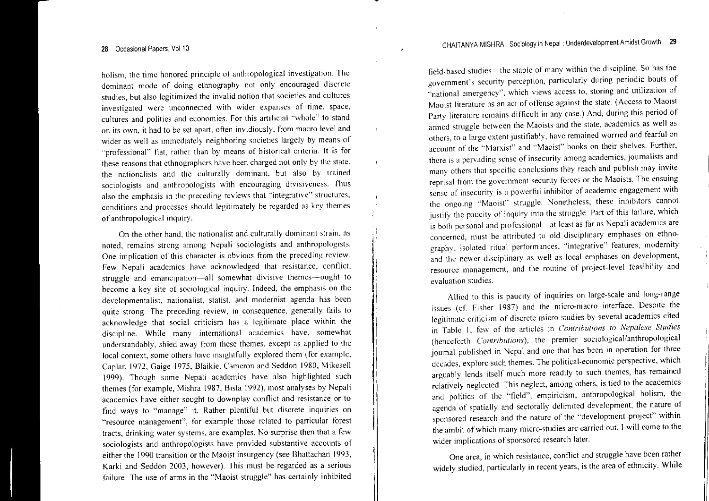holism, the time honored principle of anthropological investigation. The dominant mode of doing ethnography not only encouraged discrete studies, but also legitimized the invalid notion that societies and cultures investigated were unconnected with wider expanses of time, space, cultures and polities and economies. For this artificial "\vhole" to stand on its own, it had to be set apart, often invidiously, from macro level and wider as well as immediately neighboring societies largely by means of "professional" fiat, rather than by means of historical criteria. It is for these reasons that ethnographers have been charged not only by the state, the nationalists and the culturally dominant, but also by trained sociologists and anthropologists with encouraging divisiveness. Thus also the emphasis in the preceding reviews that "integrative" structures, conditions and processes should legitimately be regarded as key themes of anthropological inquiry.

 $\mathbf{r}$ 

On the other hand, the nationalist and culturally dom inant strain, as noted, remains strong among Nepali sociologists and anthropologists. One implication of this character is obvious from the preceding review. Few Nepali academics have acknowledged that resistance, conflict, struggle and emancipation-all somewhat divisive themes-ought to become <sup>a</sup> key site of sociological inquiry. Indeed, the emphasis on the developmentalist, nationalist. statist, and modernist agenda has been quite strong. The preceding review, in consequence, generally fails to acknowledge that social criticism has <sup>a</sup> legitimate place within the discipline. While many international academics have, somewhat understandably, shied away from these themes, excep<sup>t</sup> as applied to the local context, some others have insightfully explored them (for example Caplan 1972, Gaige 1975, Blaikie, Camcron and Seddon 1980, Mikesell 1999). Though some Nepali academics have also highlighted such themes (for example, Mishra 1987, Bista 1992), most analyses by Nepal academics have either sought to downplay conflict and resistance or to find ways to "manage" it. Rather plentiful but discrete inquiries on "resource management", for example those related to particular fores tracts, drinking water systems, are examples. No surprise then that <sup>a</sup> few sociologists and anthropologists have provided substantive accounts of either the 1990 transition or the Maoist insurgency (see Bhattachan 1993, Karki and Seddon 2003, however). This must be regarded as <sup>a</sup> serious failure. The use of arms in the "Maoist struggle" has certainly inhibited

field-based studies-the staple of many within the discipline. So has the government's security perception, particularly during periodic bouts of  $\alpha$  national emergency", which views access to, storing and utilization of Maoist literature as an act of offense against the state. (Access to Maoist Party literature remains difficult in any case.) And, during this period of armed struggle between the Maoists and the state, academics as well as others, to <sup>a</sup> large extent justifiably, have remained worried and fearful on  $\alpha$  account of the "Marxist" and "Maoist" books on their shelves. Further, there is <sup>a</sup> pervading sense of insecurity among academics, journalists and many others that specific conclusions they reach and publish may invite reprisal from the governmen<sup>t</sup> security forces or the Maoists. The ensuing sense of insecurity is <sup>a</sup> powerful inhibitor of academic engagemen<sup>t</sup> with the ongoing "Maoist" struggle. Nonetheless, these inhibitors cannot justify the paucity of inquiry into the struggle. Part of this failure, which is both personal and professional---at least as far as Nepali academics are concerned, must be attributed to old disciplinary emphases on ethnography, isolated ritual performances, "integrative" features, modernity and the newer disciplinary as well as local emphases on development, resource management, and the routine of project-level feasibility and evaluation studies.

Allied to this is paucity of inquiries on large-scale and long-range issues (cf. Fisher  $1987$ ) and the micro-macro interface. Despite the legitimate criticism of discrete micro studies by several academics cited in Table I, fe\v of the articles in *Contrihutions to Nepalese Studies* (henceforth *Contributions),* the premier sociological/anthropological journal published in Nepal and onc that has been in operation for three decades, explore such themes. The political-economic perspective, which arguably lends itself much more readily to such themes, has remained relatively neglected. This neglect, among others, is tied to the academics and politics of the "field", empiricism, anthropological holism, the agenda of spatially and sectorally delimited development, the nature of sponsored research and the nature of the "development project" within the ambit of which many micro-studies are carried out. I will come to the wider implications of sponsored research later.

One area, in which resistance, conflict and struggle have been rather widely studied, particularly in recent years, is the area of ethnicity. While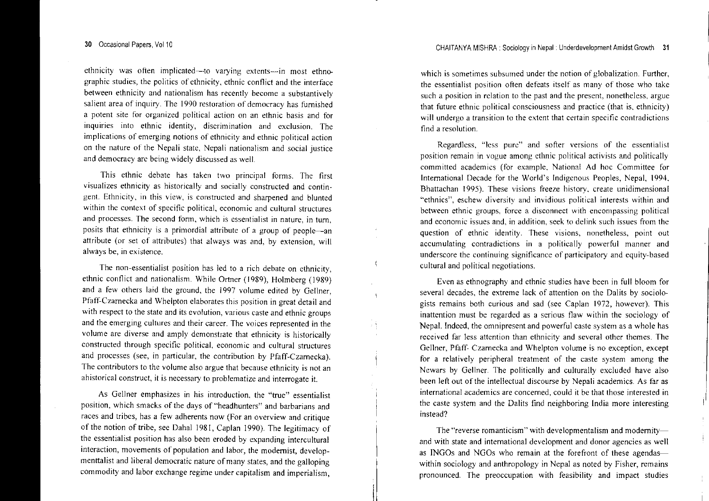CHAITANYA MISHRA : Sociology in Nepal: Underdevelopment Amidst Growth 3

**ethnicity was often implicated--ta varying extents-in most ethnographic studies, the politics of ethnicity, ethnic conflict and the interface between ethnicity and nationalism has recently become <sup>a</sup> substantively salient area of inquiry. The 1990 restoration of democracy has furnished a potent site for organized political action on an ethnic basis and for inquiries into ethnic identity, discrimination and exclusion. The implications of emerging notions of ethnicity and ethnic political action on the nature of the Nepali state, Nepali nationalism and social justice and democracy arc being widely discussed as well.**

This ethnic debate has taken two principal forms. The tirst **visualizes ethnicity as historically and socially constructed and contingent. Ethnicity, in this view, is constructed and sharpened and blunted within the context of specific political, economic and cultural structures and processes. The second [onn, which is essentialist in nature, in turn, posits that ethnicity is <sup>a</sup> primordial attribute of <sup>a</sup> group of people-an** attribute (or set of attributes) that always was and, by extension, will **always be, in existence.**

 $\overline{\mathbf{a}}$ 

 $\ddot{\phantom{1}}$ 

 $\pm \frac{3}{2}$ 

The non-essentialist position has led to a rich debate on ethnicity, ethnic connict and nationalism. While Ortner (1989), Holmberg (1989) and <sup>a</sup> few others laid the ground, the 1997 volume edited by Gellner, Pfaff-Czarnecka and Whelpton elaborates this position in grea<sup>t</sup> detail and **with respect to the state and its evolution, various caste and ethnic groups and the emerging cultures and their career. The voices represented in the volume are diverse and amply demonstrate that ethnicity is historically constructed through specific political, economic and cultural structures** and processes (see, in particular, the contribution by Pfaff-Czarnecka). **The contributors to the volume also argue that because ethnicity is not an ahistorical construct, it is necessary to problematize and interrogate it.**

**As Gellner emphasizes in his introduction, the "true" essentialist** position, which smacks of the days of "headhunters" and barbarians and **races and tribes, has <sup>a</sup> few adherents now (For an overview and critique** of the notion of tribe, see Dahal 1981, Caplan 1990). The legitimacy of ne essentialist position has also been eroded by expanding intercultural interaction, movements of population and labor, the modernist, developmenttalist and liberal democratic nature of many states, and the galloping commodity and labor exchange regime under capitalism and imperialism,

**which is sometimes subsumed under the notion of globalization. Further, the essentialist position often defeats itself as many of those who take such <sup>a</sup> position in relation to the past and the present, nonetheless, argue that future ethnic political consciousness and practice (that is, ethnicity) will undergo <sup>a</sup> transition to the extent that certain specific contradictions find <sup>a</sup> resolution.**

**Regardless, "less pure" and softer versions of the essentialist position remain in vogue among ethnic political activists and politically committed academics (for example, National Ad hoc Committee for** International Decade for the World's Indigenous Peoples, Nepal, 1994, **Bhattachan 1995). These visions freeze history, create unidimensional "ethnics", eschew diversity and invidious political interests within and between ethnic groups, force <sup>a</sup> disconnect with encompassing political and economic issues and, in addition, seek to** del ink **such issues from the question of ethnic identity. These visions, nonetheless, point out accumulating contradictions in <sup>a</sup> politically powerful manner and underscore the continuing significance of participatory and equity-based cultural and political negotiations.**

Even as ethnography and ethnic studies have been in full bloom for several decades, the extreme lack of attention on the Dalits by sociologists remains both curious and sad (see Caplan 1972, however). This **inattention must be regarded as <sup>a</sup> serious flaw within the sociology of** Nepal. Indeed, the omnipresent and powerful caste system as <sup>a</sup> whole has **received far less attention than ethnicity and several other themes. The** Gellner, Pfaff- Czarnecka and Whelpton volume is no exception, excep<sup>t</sup> for a relatively peripheral treatment of the caste system among the Newars by Gellner. The politically and culturally excluded have also been left out of the intellectual discourse by Nepali academics. As far as **international academics are concerned, could it be that those interested in** the caste system and the Dalits fmd neighboring India more interesting nstead?

**The "reverse romanticism" with** developmentalism **and modernity**and with state and international development and donor agencies as well as INGOs and NGOs who remain at the forefront of these agendaswithin sociology and anthropology in Nepal as noted by Fisher, remains pronounced. The preoccupation with feasibility and impact studies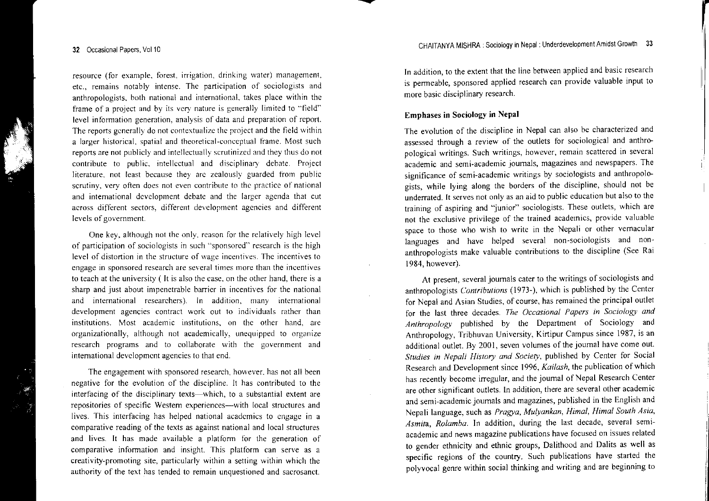resource (for example, forest, irrigation, drinking water) management etc., remains notably intense. The participation of sociologists and anthropologists. both national and international, takes place within the frame of <sup>a</sup> project and by its vcry nature is generally limited to "field" level information generation, analysis of data and preparation of report. The reports generally do not contextualize the project and the field within a larger historical, spatial and theoretical-conceptual frame. Most such reports are not publicly and intellectually scrutinized and they thus do not contribute to public. intellectual and disciplinary debate. Project literature, not least because they are zealously guarded from public scrutiny, very often does not even contribute to the practice of national and international development debate and the larger agenda that cut across different sectors, different development agencies and different levels of government.

One key, although not the only, reason for the relatively high level of participation of sociologists in such "sponsored" research is the high level of distortion in the structure of wage incentives. The incentives to engage in sponsored research are several times more than the incentives to teach at the university ( It is also the case. on the other hand, there is <sup>a</sup> sharp and just about impenetrable barrier in incentives for the national and international researchers). In addition, many international development agencies contract work out to individuals rather than institutions. Most academic institutions, on the other hand, are organizationally, although not academically. unequipped to organize research programs and to collaborate \vith the governmen<sup>t</sup> and international development agencies to that cnd.

The engagemen<sup>t</sup> \vith sponsored research, however, has not all been negative for the evolution of the discipline. It has contributed to the interfacing of the disciplinary texts—which, to a substantial extent are repositories of specific Western experiences-with local structures and lives. This interfacing has helped national academics to engage in <sup>a</sup> comparative reading of the texts as against national and local structures and lives. It has made available <sup>a</sup> platform for the generation of comparative information and insight. This platform can serve as a creativity-promoting site, particularly within <sup>a</sup> setting within which the authority of the text has tended to remain unquestioned and sacrosanct.

In addition, to the extent that the line between applied and basic research is permeable, sponsored applied research can provide valuable input to more basic disciplinary research.

#### Emphases in Sociology in Nepal

 $\ddot{\phantom{a}}$ 

The evolution of the discipline in Nepal can also be characterized and assessed through <sup>a</sup> review of the outlets for sociological and anthropological writings. Such writings, however, remain scattered in several academic and semi-academic journals, magazines and newspapers. The significance of semi-academic writings by sociologists and anthropologists, while lying along the borders of the discipline, should not be underrated. It serves not only as an aid to public education but also to the training of aspiring and "junior" sociologists. These outlets, which are not the exclusive privilege of the trained academics, provide valuable space to those who wish to write in the Nepali or other vernacular languages and have helped several non-sociologists and nonanthropologists make valuable contributions to the discipline (See Rai 1984, however).

At present, several journals cater to the writings of sociologists and anthropologists *Contributions* (1973-), which is published by the Center for Nepal and Asian Studies, of course, has remained the principal outlet for the last three decades. *The Occasional Papers in Sociology and Anthropology* published by the Department of Sociology and Anthropology, Tribhuvan University, Kirtipur Campus since 1987, is an additional outlet. By 2001, seven volumes of the journal have come out. *Studies in Nepali History and Society,* published by Center for Social Research and Development since 1996, *Kailash,* the publication of which has recently become irregular, and the journal of Nepal Research Center are other significant outlets. In addition, there are several other academic and semi-academic journals and magazines, published in the English and Nepali language, such as *Pragya, Mulyankan, Himal, Himal South Asia, Asmita, Rolamba.* In addition, during the last decade, several semiacademic and news magazine publications have focused on issues related to gender ethnicity and ethnic groups, Dalithood and Dalits as well as specific regions of the country, Such publications have started the polyvocal genre within social thinking and writing and are beginning to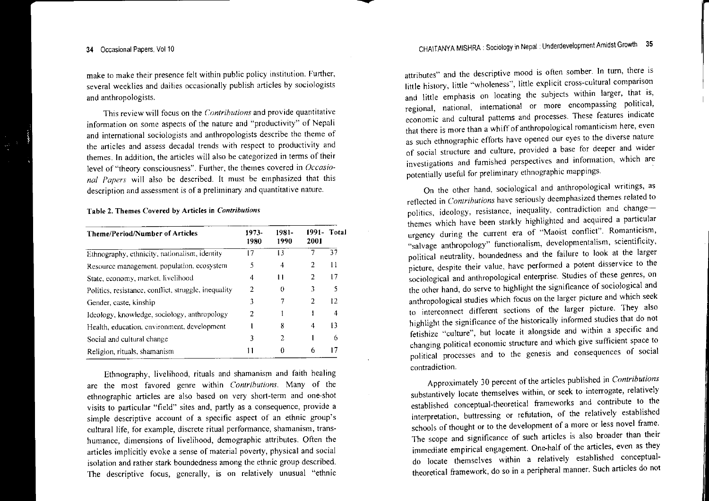make to make their presence felt within public policy institution. Further, several weeklies and dailies occasionally publish articles by sociologists and anthropologists,

This review will focus on the *Contributions* and provide quantitative information on some aspects of the nature and "productivity" of Nepali and international sociologists and anthropologists describe the theme of the articles and assess decadal trends with respec<sup>t</sup> to productivity and themes. In addition, the articles will also be categorized in terms of their evel of "theory consciousness". Further, the themes covered in *Occasional Papers* will also be described. It must be emphasized that this description and assessment is of <sup>a</sup> preliminary and quantitative nature.

#### Table 2. Themes Covered by Articles in *Contributions*

| <b>Theme/Period/Number of Articles</b>               | 1973-<br>1980 | 1981-<br>1990 | 1991-<br>2001 | Total |
|------------------------------------------------------|---------------|---------------|---------------|-------|
| Ethnography, ethnicity, nationalism, identity        | -7            | 13            |               | 37    |
| Resource management, population, ecosystem           | 5             | 4             | 2             | 11    |
| State, economy, market, livelihood                   | 4             | Ħ             | 2             | 17    |
| Politics, resistance, conflict, struggle, inequality | 2             | $_{0}$        | 3             | 5     |
| Gender, caste, kinship                               | 3             | 7             | 2             | 12    |
| Ideology, knowledge, sociology, anthropology         | 2             |               |               | 4     |
| Health, education, cnvironment, development          |               | 8             | 4             | 13    |
| Social and cultural change                           | 3             | 2             |               | 6     |
| Religion, rituals, shamanism                         | 11            | 0             | 6             | 17    |

Ethnography, livelihood, rituals and shamanism and faith healing are the most favored genre within *Contributions.* Many of the ethnographic articles are also based on very short-tenn and one-shot visits to particular "field" sites and, partly as <sup>a</sup> consequence, provide <sup>a</sup> simple descriptive account of <sup>a</sup> specific aspec<sup>t</sup> of an ethnic group's cultural life, for example, discrete ritual performance, shamanism, transhumance, dimensions of livelihood, demographic attributes, Often the articles implicitly evoke <sup>a</sup> sense of material poverty, physical and social isolation and rather stark boundedness among the ethnic group described, The descriptive focus, generally, is on relatively unusual "ethnic

attributes" and the descriptive mood is often somber. In turn, there is little history, little "wholeness", little explicit cross-cultural comparison and little emphasis on locating the subjects within larger, that is, regional, national, international or more encompassing political, economic and cultural patterns and processes. These reatures indicate that there is more than <sup>a</sup> whiff of anthropological romanticism here, even as such ethnographic efforts have opened our eyes to the diverse nature of social structure and culture, provided a base for deeper and wider investigations and furnished perspectives and information, which are potentially useful for preliminary ethnographic mappings.

On the other hand, sociological and anthropological writings, as reflected in *Contrihutions* have seriously deemphasized themes related to politics, ideology, resistance, inequality, contradiction and changethemes which have been starkly highlighted and acquired <sup>a</sup> particular urgency during the current era of "Maoist conflict". Romanticism, "salvage anthropology" functionalism, developmentalism, scientificity, political neutrality, boundedness and the failure to look at the larger picture, despite their value, have performed <sup>a</sup> potent disservice to the sociological and anthropological enterprise, Studies of these genres, on the other hand, do serve to highlight the significance of sociological and anthropological studies which focus on the larger picture and which seek to interconnect different sections of the larger picture. They also highlight the significance of the historically infonned studies that do not fetishize "culture", but locate it alongside and within <sup>a</sup> specific and changing political economic structure and which give sufficient space to political processes and to the genesis and consequences of social contradiction.

Approximately 30 percen<sup>t</sup> of the articles published in *Contributions* substantively locate themselves within, or seek to interrogate, relatively established conceptual-theoretical frameworks and contribute to the interpretation, buttressing or refutation, of the relatively established schools of thought or to the development of a more or less novel frame The scope and significance of such articles is also broader than their immediate empirical engagement. One-half of the articles, even as they do locate themselves within <sup>a</sup> relatively established conceptualtheoretical framework, do so in a peripheral manner. Such articles do no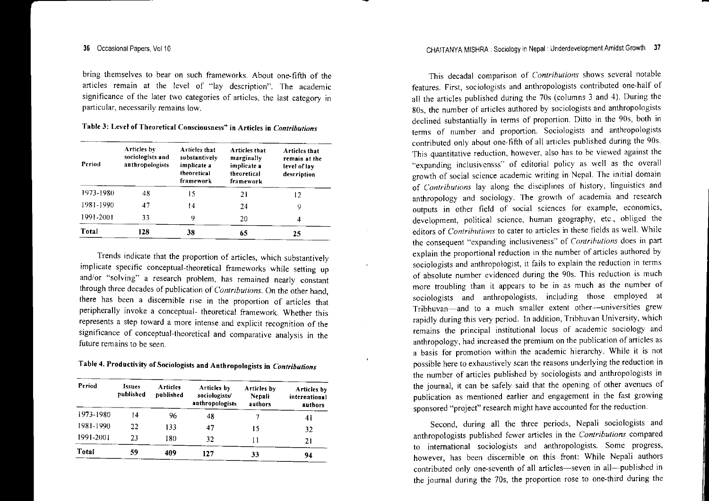bring themselves to bear on such frameworks. About one-fifth of the articles remain at the level of "lay description". The academic significance of the later two categories of articles, the last category in particular, necessarily remains low.

| Table 3: Level of Theoretical Consciousness" in Articles in Contributions |  |  |  |
|---------------------------------------------------------------------------|--|--|--|
|---------------------------------------------------------------------------|--|--|--|

| Period    | <b>Articles by</b><br>sociologists and<br>anthropologists | Articles that<br>substantively<br>implicate a<br>theoretical<br>framework | Articles that<br>marginally<br>implicate a<br>theoretical<br>framework | Articles that<br>remain at the<br>level of lav<br>description |
|-----------|-----------------------------------------------------------|---------------------------------------------------------------------------|------------------------------------------------------------------------|---------------------------------------------------------------|
| 1973-1980 | 48                                                        | 15                                                                        | 21                                                                     | 12                                                            |
| 1981-1990 | 47                                                        | 14                                                                        | 24                                                                     | 9                                                             |
| 1991-2001 | 33                                                        | 9                                                                         | 20                                                                     | 4                                                             |
| Total     | 128                                                       | 38                                                                        | 65                                                                     | 25                                                            |

 Trends indicate that the proportion of articles, which substantively implicate specific conceptual-theoretical frameworks while setting up and/or "solving" a research problem, has remained nearly constant through three decades of publication of *Contributions.* On the other hand there has been <sup>a</sup> discernible rise in the proportion of articles tha; peripherally invoke <sup>a</sup> conceptual- theoretical framework. Whether this a step toward a more intense and explicit recognition of the significance of conceptual-theoretical and comparative analysis in the future remains to be seen.

## Table 4. Productivity of Sociologists and Anthropologists in *Contributions*

| Period    | Issues<br>published | <b>Articles</b><br>published | <b>Articles</b> by<br>sociologists/<br>anthropologists | Articles by<br>Nepali<br>authors | Articles by<br>international<br>authors |
|-----------|---------------------|------------------------------|--------------------------------------------------------|----------------------------------|-----------------------------------------|
| 1973-1980 | 14                  | 96                           | 48                                                     |                                  | 41                                      |
| 1981-1990 | 22                  | 133                          | 47                                                     | 15                               | 32                                      |
| 1991-2001 | 23                  | 180                          | 32                                                     | 11                               | 21                                      |
| Total     | 59                  | 409                          | 127                                                    | 33                               | 94                                      |

This decadal comparison of *Contrihutions* shows several notable features. First, sociologists and anthropologists contributed one-half of all the articles published during the 70s (columns 3 and 4). During the 80s, the number of articles authored by sociologists and anthropologists declined substantially in terms of proportion. Ditto in the 90s, both in terms of number and proportion. Sociologists and anthropologists contributed only about one-fifth of all articles published during tlie 90s. This quantitative reduction, however, also has to be viewed against the "expanding inclusivensss" of editorial policy as well as the overall growth of social science academic writing in Nepal. The initial domain of *Contributions* lay along the disciplines of history, linguistics and anthropology and sociology. The growth of academia and research outputs in other field of social sciences for example, economics, development, political science, human geography, etc., obliged the editors of *Contributions* to cater to articles in these fields as well. While the consequen<sup>t</sup> "expanding inclusiveness" of *Contrihutions* does in par<sup>t</sup> explain the proportional reduction in the number of articles authored by sociologists and anthropologist, it fails to explain the reduction in terms of absolute number evidenced during the 90s. This reduction is much more troubling than it appears to be in as much as the number of sociologists and anthropologists, including those employed at Tribhuvan-and to <sup>a</sup> much smaller extent other-universities grew rapidly during this very period. In addition, Tribhuvan University, which remains the principal institutional locus of academic sociology and anthropology, had increased the premium on the publication of articles as a basis for promotion within the academic hierarchy. While it is no possible here to exhaustively scan the reasons underlying the reduction in the number of articles published by sociologists and anthropologists in the journal, it can be safely said that the opening of other avenues of publication as mentioned earlier and engagemen<sup>t</sup> in the fast growing sponsored "project" research might have accounted for the reduction.

Second, during all the three periods, Nepali sociologists and anthropologists published fewer articles in the *Contributions* compared to international sociologists and anthropologists. Some progress, however, has been discernible on this front: While Nepali authors contributed only one-seventh of all articles-seven in all--published in the journal during the 70s, the proportion rose to one-third during the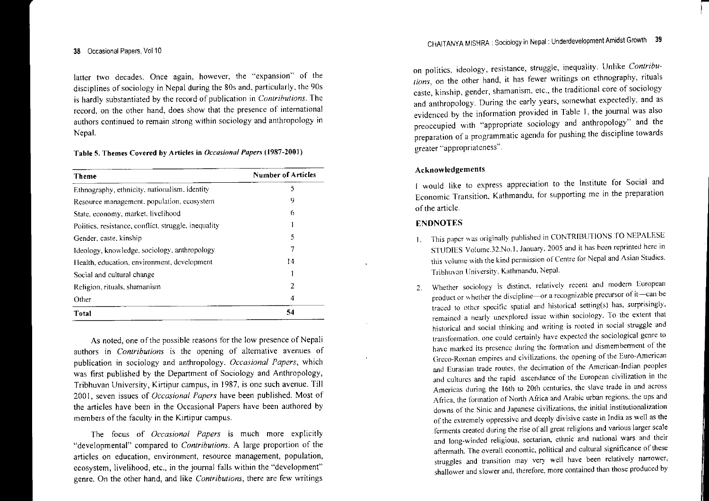#### 38 Occasional Papers, Vol 10

latter two decades. Once again, however, the "expansion" of the disciplines of sociology in Nepal during the 80s and, particularly, the 90s is hardly substantiated by the record of publication in *Contrihutions.* The record, on the other hand, does show that the presence of intemational authors continued to remain strong within sociology and anthropology in Nepal.

Table 5. Themes Covered by Articles in *Occasional Papers (1987-2001)*

| <b>Theme</b>                                         | <b>Number of Articles</b> |  |
|------------------------------------------------------|---------------------------|--|
| Ethnography, ethnicity, nationalism, identity        | 5                         |  |
| Resource management, population, ecosystem           | 9                         |  |
| State, economy, market, livelihood                   | 6                         |  |
| Politics, resistance, conflict, struggle, inequality |                           |  |
| Gender, caste, kinship                               | 5                         |  |
| Ideology, knowledge, sociology, anthropology         |                           |  |
| Health, education, environment, development          | 14                        |  |
| Social and cultural change                           |                           |  |
| Religion, rituals, shamanism                         | 2                         |  |
| Other                                                | 4                         |  |
| <b>Total</b>                                         | 54                        |  |

As noted, one of the possible reasons for the low presence of Nepali authors in *Contributions* is the opening of alternative avenues of publication in sociology and anthropology. *Occasional Papers,* which was first published by the Department of Sociology and Anthropology, Tribhuvan University, Kirtipur campus, in 1987, is one such avenue. Till 200 I, seven issues of *Occasional Papers* have been published. Most of the articles have been in the Occasional Papers have been authored by members of the faculty in the Kirtipur campus.

The focus of *Occasional Papers* is much more explicitly "developmental" compare<sup>d</sup> to *Contributions.* A large proportion of the articles on education, environment, resource management, population, ecosystem, livelihood, etc., in the journal falls within the "development" genre. On the other hand, and like *Contributions,* there are few writings

on politics, ideology, resistance, struggle, inequality. Unlike *Contributions,* on the other hand, it has fewer writings on ethnography, rituals caste, kinship, gender, shamanism, etc., the traditional core of sociology and anthropology. During the early years, somewhat expectedly, and as evidenced by the information provided in Table I, the journal was also preoccupied with "appropriate sociology and anthropology" and the preparation of <sup>a</sup> programmatic agenda for pushing the discipline towards greater "appropriateness".

### Acknowledgements

I would like to express appreciation to the Institute for Social and Economic Transition, Kathmandu, for supporting me in the preparation ofthe article.

## ENDNOTES

- 1. This paper was originally published in CONTRIBUTIONS TO NEPALESE STUDIES Volume.32.No.l. January. <sup>2005</sup> and it has been reprinted here in this volume with the kind permission of Centre for Nepal and Asian Studies. Tribhuvan University. Kathmandu. Nepal.
- 2.Whether sociology is distinct, relatively recent and modern European product or whether the discipline-or a recognizable precursor of it-can be traced to other specific spatial and historical setting(s) has, surprisingly, remained <sup>a</sup> nearly unexplored issue \vithin sociology. To the extent that historical and social thinking and writing is rooted in social struggle and transformation. one could certainly have expected the sociological genre to have marked its presence during the formation and dismemberment of the Greco-Roman empires and civilizations. the opening of the Euro-American and Eurasian trade routes, the decimation of the American-Indian peoples and cultures and the rapid ascendance of the European civilization in the Americas during the 16th to 20th centuries. the stave trade in and across Africa, the formation of North Africa and Arabic urban regions. the ups and downs of the Sinic and Japanese civilizations. the initial institutionalization of the extremely oppressive and deeply divisive caste in India as well as the ferments created during the rise of all grea<sup>t</sup> religions and various larger scale and long-winded religious, sectarian, ethnic and national wars and their aftermath. The overall economic, political and cultural significance of these struggles and transition may very well have been relatively narrower, shallower and slower and, therefore, more contained than those produced by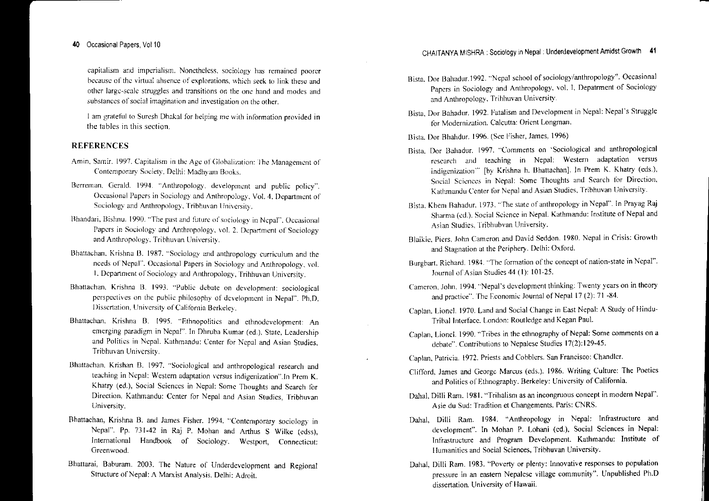#### 40 Occasional Papers, Volt 0

capitalism and imperialism. Nonetheless, sociology has remained poorer because of the virtual absence of explorations, which seek to link these and other Iargc-sculc struggles and transitions on the onc hand and modes and substances of social imagination and investigation on the other.

am grateful to Suresh Dhakal for helping me with information provided in the tables in this section.

# REFERENCES

- Amin. Samir. 1997. Capitalism in Agc of Glohalization: The Management of Contemporary Society, Delhi: Madhyam Books.
- Berreman. Gerald. 1994. "Anthropology, development and public policy". Occasional Papers in Sociology and Anthropology. Vol. 4. Department of Sociology and Anthropology, Tribhuvan University.
- Bhandari. Bishnu. 1990. "The pas<sup>t</sup> and futurc of" sociology in Ncpal"·. Occasional in Sociology' and Anthropology. vol. 2. Department of Sociology and Anthropology. Tribhuvan University.
- Bhattachan. Krishna B. 1987. "Sociology and anthropology curriculum and the needs of Nepal". Occasional Papers in Sociology and Anthropology, vol. I. Department of Sociology and Anthropology. Trihhuvan University.
- Bhanachan. Krishna B. 1993. "Public debate on development: sociological perspectives on the public philosophy of development in Nepal", Ph.D. Dissertation, University of California Berkeley.
- Bhattachan. Krishna B. 1995. "Ethnopolitics and ethnodevelopment: An emerging paradigm in Nepal". In Dhruba Kumar (cd.). State. Leadership and Politics in Nepal. Kathmandu: Center for Nepal and Asian Studies. Tribhuvan University.
- Bhattachan. Krishan B. 1997. "Sociological and anthropological research and teaching in Nepal: Western adaptation versus indigenization'·.In Prcm K. Khatry (cd.), Social Sciences in Nepal: Some Thoughts and Search for Direction. Kathmandu: Center for Nepal and Asian Studies, Tribhuvan University.
- Bhattachan, Krishna B. and James Fisher. 1994. "Contemporary sociology in Nepal". Pp. 731-42 in Raj P. Mohan and Arthus S Wilke (cdss), International Handbook of Sociology. Westport, Connecticut Greenwood.
- Rhattarai, Baburam. 2003. The Nature of Underdevelopment and Regional Structure of Nepal: A Marxist Analysis. Delhi: Adroit.
- Bista. Dor 13ahadur.1992. "Nepal school of sociology/anthropo logy·'. Occasional Papers in Sociology and Anthropology. vol. I, Depatrment of Sociology and Anthropology, Trihhuvan University.
- Sista, Dor Bahadur. 1992. Fatalism and Development in Nepal: Nepal's Struggle for Modernization. Calcutta: Orient Longman.

Ilista. Dor Bhahduf. t 996. (Sec I'isher, James, 1996)

- Hista. Oar 13ahadur. 1997. "Comments on 'Sociological and anthropological research and teaching in Nepal: western adaptation versus indigenization" [by Krishna h. Bhattachan]. In Prem K. Khatry (eds.), Social Sciences in Nepal: Some Thoughts and Search for Direction. Kathmandu Center lor Nepal and Asian Studies. Tribhuvan University.
- Bista. Khcm Bahadur. 1973. "The state of anthropology in Nepal". In Prayag Raj Sharma (cd.). Social Science in Nepal. Kathmandu: Institute of Nepal and Asian Studies, Tribhubvan University.
- Blaikie. Piers. John Cameron and David Seddon. 1980. Nepal in Crisis: Growth and Stagnation at the Periphery. Delhi: Oxford.
- Burgbart. Richard. 1984. "The formation of the concept of nation-state in Nepal". Journal of Asian Studies 44 (1): 101-25.
- Cameron, John. 1994. "Nepal's development thinking: Twenty years on in theory and practice". The Economic Journal of Nepal 17 (2): 71 -84.
- Caplan. Lionel. 1970. Land and Social Change in East Nepal: A Study of Hindu-Tribal Interface. London: Routledge and Kegan Paul.
- Caplan. Lionel. 1990. "Tribes in the ethnography of Nepal: Some comments on <sup>a</sup> debate". Contributions to Nepalese Studies 17(2): 129-45.
- Caplan, Patricia. 1972. Priests and Cobblers. San Francisco: Chandler.
- Cli/Tord. James and George Marcus (eds.). 1986. Writing Culture: The Poetics and Politics of Ethnography. Berkeley: University of California.
- Dahal, Dilli Ram. 1981. "Tribalism as an incongruous concept in modern Nepal". Asie du Sud: Tradition et Changements. Paris: CNRS.
- Dahal, Dilli Ram. 1984. "Anthropology in Nepal: Infrastructure and development". In Mohan P. Lohani (ed.), Social Sciences in Nepal: Infrastructure and Program Development. Kathmandu: Institute of llumanitics and Social Sciences, Tribhuvan University.
- Dahal, Dilli Ram. 1983. "Poverty or plenty: Innovative responses to population pressure in an eastern Nepalese village community". Unpublished Ph.D dissertation. University of Hawaii.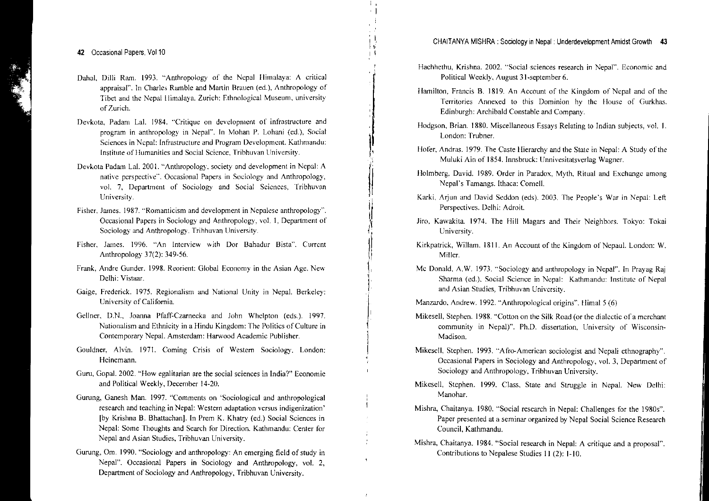- Dahal, Dilli Ram. 1993. "Anthropology of the Nepal Himalaya: A critical appraisal", In Charles Ramble and Martin Braucn (cd.), Anthropology of Tibet and the Nepal lIimalaya. Zurich: Ethnological Museum, university ofZurich.
- Devkota, Padam Lal. 1984. "Critique on development of infrastructure and program in anthropology in Nepal", In Mohan P. Lohani (cd.), Social Sciences in Nepal: Infrastructure and Program Development. Kathmandu: Institute of Humanities and Social Science, Tribhuvan University.
- Devkota Padam La!' 2001. "Anthropology, society and development in Nepal: A native perspective", Occasional Papers in Sociology and Anthropology, vol. 7, Department of Sociology and Social Sciences, Tribhuvan University.
- Fisher, James. 1987. "Romanticism and development in Nepalese anthropology". Occasional Papers in Sociology and Anthropology, vol. 1. Department of Sociology and Anthropology. Tribhuvan University.
- Fisher, James. 1996. "An Interview with Dor Bahadur Bista". Current Anthropology 37(2): 349-56.
- Frank, Andre Gunder. 1998. Reorient: Global Economy in the Asian Age. New Delhi: Vistaar.
- Gaige, Frederick. 1975. Regionalism and National Unity in Nepal. Berkeley: University of California.
- Gellner. D.N.. Jomma Pfaff-Czarnecka and John Whelpton (eds.). 1997. Nationalism and Ethnicity in a Hindu Kingdom: The Politics of Culture in Contemporary Nepal. Amsterdam: Harwood Academic Publisher.
- Gouldner. Alvin. 1971. Coming Crisis of Western Sociology. London: Heinemann.
- Guru, Gopal. 2002. "How egalitarian are the social sciences in India?" Economic and Political Weekly, December 14-20.
- Gurung, Ganesh Man. 1997. "Comments on 'Sociological and anthropological research and teaching in Nepal: Western adaptation versus indigenization' [by Krishna B. Bhattaehan]. **In** Prem K. Khatry (ed.) Social Sciences in Nepal: Some Thoughts and Search for Direction. Kathmandu: Center for Nepal and Asian Studies, Tribhuvan University.
- Gurung, Om. 1990. "Sociology and anthropology: An emerging field of study in Nepal". Occasional Papers in Sociology and Anthropology, vol. 2, Department of Sociology and Anthropology, Tribhuvan University.

Hachhethu, Krishna. 2002. "Social sciences research in Nepal'·. Economic and Political Weekly, August 3 I-september 6.

 $\prod_{i=1}^n$  $\mathbf{1}$ 

I,

|<br>|<br>|

:1

||  $\,$ II

!'

- Hamilton, Francis B. 1819. An Account of the Kingdom of Nepal and of the Territories Annexed to this Dominion by the House of Gurkhas. Edinburgh: Archibald Constable and Company.
- Hodgson, Brian. 1880. Miscellaneous Essays Relating to Indian subjects, vol. 1. London: Trubner.
- Hofer, Andras. 1979. The Caste Hierarchy and the State in Nepal: A Study of the Muluki Ain of 1854. Innsbruck: Unnivesitatsverlag Wagner.
- Holmberg, David. 1989. Order in Paradox, Myth, Ritual and Exchange among Nepal's Tamangs. lthaca: Comell.
- Karki. Arjun and David Seddon (eds). 2003. The People's War in Nepal: Left Perspectives. Delhi: Adroit.
- Jiro, Kawakita. 1974. The Hill Magars and Their Neighbors. Tokyo: Tokai University.
- Kirkpatrick, Willam. 1811. An Account of the Kingdom of Nepaul. London: W. Miller.
- Mc Donald. A.W. 1973. "Sociology and anthropology in Nepal". In Prayag Raj Sharma (ed.), Social Science in Nepal: Kathmandu: Institute of Nepal and Asian Studies, Tribhuvan University.
- Manzardo, Andrew. 1992. "Anthropological origins". lIimal 5 (6)
- Mikesell, Stephen. 1988. "Cotton on the Silk Road (or the dialectic of a merchant community in Nepal)". Ph.D. dissertation, University of Wisconsin-Madison.
- Mikesell, Stephen. 1993. "Afro-American sociologist and Nepali ethnography". Occasional Papers in Sociology and Anthropology, vol. 3, Department of Sociology and Anthropology, Tribhuvan University.
- Mikesell. Stcphen. <sup>t</sup> 999. Class. State and Struggle in Nepal. New Delhi: Manohar.
- Mishra, Chaitanya. t980. "Social research in Nepal: Challenges for the 1980s". Paper presented at <sup>a</sup> seminar organized by Nepal Social Science Research Council, Kathmandu.
- Mishra, Chaitanya. 1984. "Social research in Nepal: A critique and <sup>a</sup> proposal". Contributions to Nepalese Studies 11 (2): 1·10.